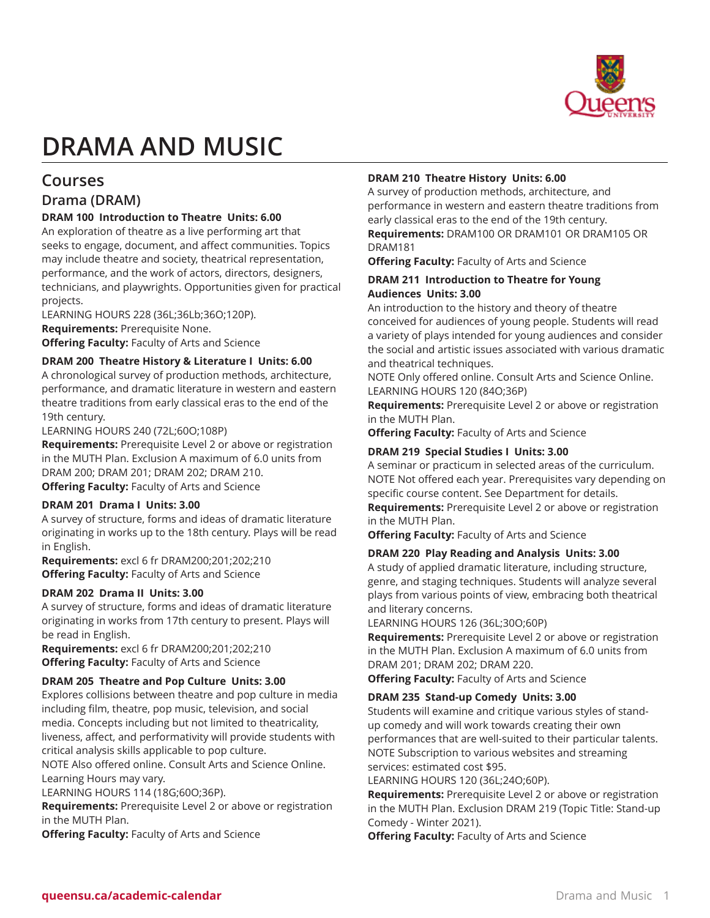

# **DRAMA AND MUSIC**

# **Courses**

# **Drama (DRAM)**

# **DRAM 100 Introduction to Theatre Units: 6.00**

An exploration of theatre as a live performing art that seeks to engage, document, and affect communities. Topics may include theatre and society, theatrical representation, performance, and the work of actors, directors, designers, technicians, and playwrights. Opportunities given for practical projects.

LEARNING HOURS 228 (36L;36Lb;36O;120P). **Requirements:** Prerequisite None. **Offering Faculty:** Faculty of Arts and Science

# **DRAM 200 Theatre History & Literature I Units: 6.00**

A chronological survey of production methods, architecture, performance, and dramatic literature in western and eastern theatre traditions from early classical eras to the end of the 19th century.

LEARNING HOURS 240 (72L;60O;108P)

**Requirements:** Prerequisite Level 2 or above or registration in the MUTH Plan. Exclusion A maximum of 6.0 units from DRAM 200; DRAM 201; DRAM 202; DRAM 210. **Offering Faculty:** Faculty of Arts and Science

# **DRAM 201 Drama I Units: 3.00**

A survey of structure, forms and ideas of dramatic literature originating in works up to the 18th century. Plays will be read in English.

**Requirements:** excl 6 fr DRAM200;201;202;210 **Offering Faculty:** Faculty of Arts and Science

# **DRAM 202 Drama II Units: 3.00**

A survey of structure, forms and ideas of dramatic literature originating in works from 17th century to present. Plays will be read in English.

**Requirements:** excl 6 fr DRAM200;201;202;210 **Offering Faculty:** Faculty of Arts and Science

# **DRAM 205 Theatre and Pop Culture Units: 3.00**

Explores collisions between theatre and pop culture in media including film, theatre, pop music, television, and social media. Concepts including but not limited to theatricality, liveness, affect, and performativity will provide students with critical analysis skills applicable to pop culture.

NOTE Also offered online. Consult Arts and Science Online. Learning Hours may vary.

LEARNING HOURS 114 (18G;60O;36P).

**Requirements:** Prerequisite Level 2 or above or registration in the MUTH Plan.

**Offering Faculty:** Faculty of Arts and Science

# **DRAM 210 Theatre History Units: 6.00**

A survey of production methods, architecture, and performance in western and eastern theatre traditions from early classical eras to the end of the 19th century. **Requirements:** DRAM100 OR DRAM101 OR DRAM105 OR DRAM181

**Offering Faculty:** Faculty of Arts and Science

# **DRAM 211 Introduction to Theatre for Young Audiences Units: 3.00**

An introduction to the history and theory of theatre conceived for audiences of young people. Students will read a variety of plays intended for young audiences and consider the social and artistic issues associated with various dramatic and theatrical techniques.

NOTE Only offered online. Consult Arts and Science Online. LEARNING HOURS 120 (84O;36P)

**Requirements:** Prerequisite Level 2 or above or registration in the MUTH Plan.

**Offering Faculty:** Faculty of Arts and Science

# **DRAM 219 Special Studies I Units: 3.00**

A seminar or practicum in selected areas of the curriculum. NOTE Not offered each year. Prerequisites vary depending on specific course content. See Department for details.

**Requirements:** Prerequisite Level 2 or above or registration in the MUTH Plan.

**Offering Faculty:** Faculty of Arts and Science

# **DRAM 220 Play Reading and Analysis Units: 3.00**

A study of applied dramatic literature, including structure, genre, and staging techniques. Students will analyze several plays from various points of view, embracing both theatrical and literary concerns.

LEARNING HOURS 126 (36L;30O;60P)

**Requirements:** Prerequisite Level 2 or above or registration in the MUTH Plan. Exclusion A maximum of 6.0 units from DRAM 201; DRAM 202; DRAM 220.

**Offering Faculty:** Faculty of Arts and Science

# **DRAM 235 Stand-up Comedy Units: 3.00**

Students will examine and critique various styles of standup comedy and will work towards creating their own performances that are well-suited to their particular talents. NOTE Subscription to various websites and streaming services: estimated cost \$95.

LEARNING HOURS 120 (36L;24O;60P).

**Requirements:** Prerequisite Level 2 or above or registration in the MUTH Plan. Exclusion DRAM 219 (Topic Title: Stand-up Comedy - Winter 2021).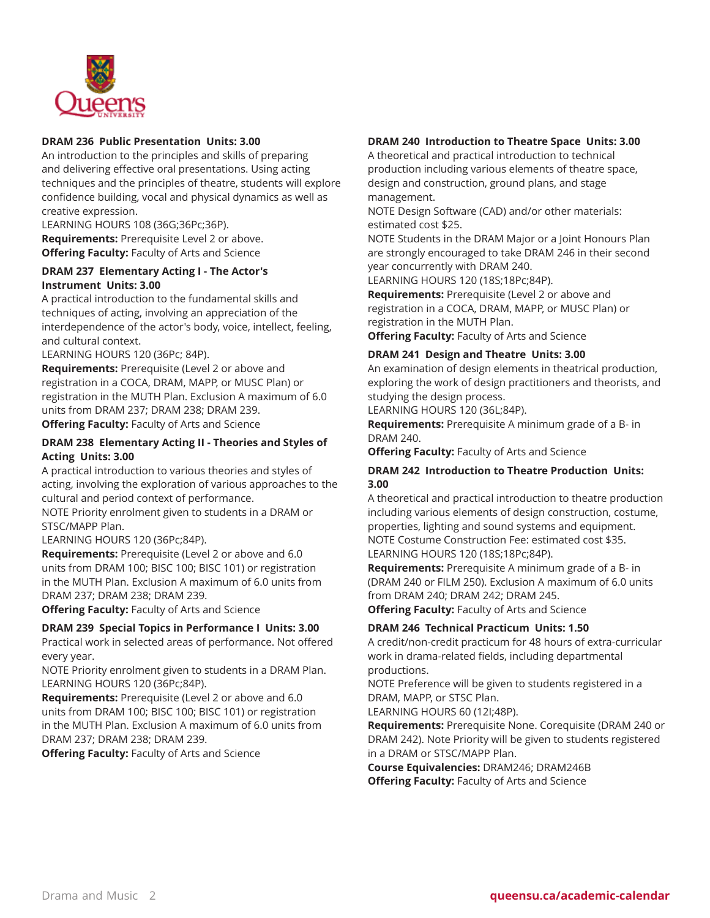

# **DRAM 236 Public Presentation Units: 3.00**

An introduction to the principles and skills of preparing and delivering effective oral presentations. Using acting techniques and the principles of theatre, students will explore confidence building, vocal and physical dynamics as well as creative expression.

LEARNING HOURS 108 (36G;36Pc;36P). **Requirements:** Prerequisite Level 2 or above. **Offering Faculty:** Faculty of Arts and Science

# **DRAM 237 Elementary Acting I - The Actor's Instrument Units: 3.00**

A practical introduction to the fundamental skills and techniques of acting, involving an appreciation of the interdependence of the actor's body, voice, intellect, feeling, and cultural context.

LEARNING HOURS 120 (36Pc; 84P).

**Requirements:** Prerequisite (Level 2 or above and registration in a COCA, DRAM, MAPP, or MUSC Plan) or registration in the MUTH Plan. Exclusion A maximum of 6.0 units from DRAM 237; DRAM 238; DRAM 239. **Offering Faculty:** Faculty of Arts and Science

# **DRAM 238 Elementary Acting II - Theories and Styles of Acting Units: 3.00**

A practical introduction to various theories and styles of acting, involving the exploration of various approaches to the cultural and period context of performance.

NOTE Priority enrolment given to students in a DRAM or STSC/MAPP Plan.

LEARNING HOURS 120 (36Pc;84P).

**Requirements:** Prerequisite (Level 2 or above and 6.0 units from DRAM 100; BISC 100; BISC 101) or registration in the MUTH Plan. Exclusion A maximum of 6.0 units from DRAM 237; DRAM 238; DRAM 239.

**Offering Faculty:** Faculty of Arts and Science

# **DRAM 239 Special Topics in Performance I Units: 3.00**

Practical work in selected areas of performance. Not offered every year.

NOTE Priority enrolment given to students in a DRAM Plan. LEARNING HOURS 120 (36Pc;84P).

**Requirements:** Prerequisite (Level 2 or above and 6.0 units from DRAM 100; BISC 100; BISC 101) or registration in the MUTH Plan. Exclusion A maximum of 6.0 units from DRAM 237; DRAM 238; DRAM 239.

**Offering Faculty:** Faculty of Arts and Science

# **DRAM 240 Introduction to Theatre Space Units: 3.00**

A theoretical and practical introduction to technical production including various elements of theatre space, design and construction, ground plans, and stage management.

NOTE Design Software (CAD) and/or other materials: estimated cost \$25.

NOTE Students in the DRAM Major or a Joint Honours Plan are strongly encouraged to take DRAM 246 in their second year concurrently with DRAM 240.

LEARNING HOURS 120 (18S;18Pc;84P).

**Requirements:** Prerequisite (Level 2 or above and registration in a COCA, DRAM, MAPP, or MUSC Plan) or registration in the MUTH Plan.

**Offering Faculty:** Faculty of Arts and Science

# **DRAM 241 Design and Theatre Units: 3.00**

An examination of design elements in theatrical production, exploring the work of design practitioners and theorists, and studying the design process.

LEARNING HOURS 120 (36L;84P).

**Requirements:** Prerequisite A minimum grade of a B- in DRAM 240.

**Offering Faculty:** Faculty of Arts and Science

# **DRAM 242 Introduction to Theatre Production Units: 3.00**

A theoretical and practical introduction to theatre production including various elements of design construction, costume, properties, lighting and sound systems and equipment. NOTE Costume Construction Fee: estimated cost \$35. LEARNING HOURS 120 (18S;18Pc;84P).

**Requirements:** Prerequisite A minimum grade of a B- in (DRAM 240 or FILM 250). Exclusion A maximum of 6.0 units from DRAM 240; DRAM 242; DRAM 245.

**Offering Faculty:** Faculty of Arts and Science

# **DRAM 246 Technical Practicum Units: 1.50**

A credit/non-credit practicum for 48 hours of extra-curricular work in drama-related fields, including departmental productions.

NOTE Preference will be given to students registered in a DRAM, MAPP, or STSC Plan.

LEARNING HOURS 60 (12I;48P).

**Requirements:** Prerequisite None. Corequisite (DRAM 240 or DRAM 242). Note Priority will be given to students registered in a DRAM or STSC/MAPP Plan.

**Course Equivalencies:** DRAM246; DRAM246B **Offering Faculty:** Faculty of Arts and Science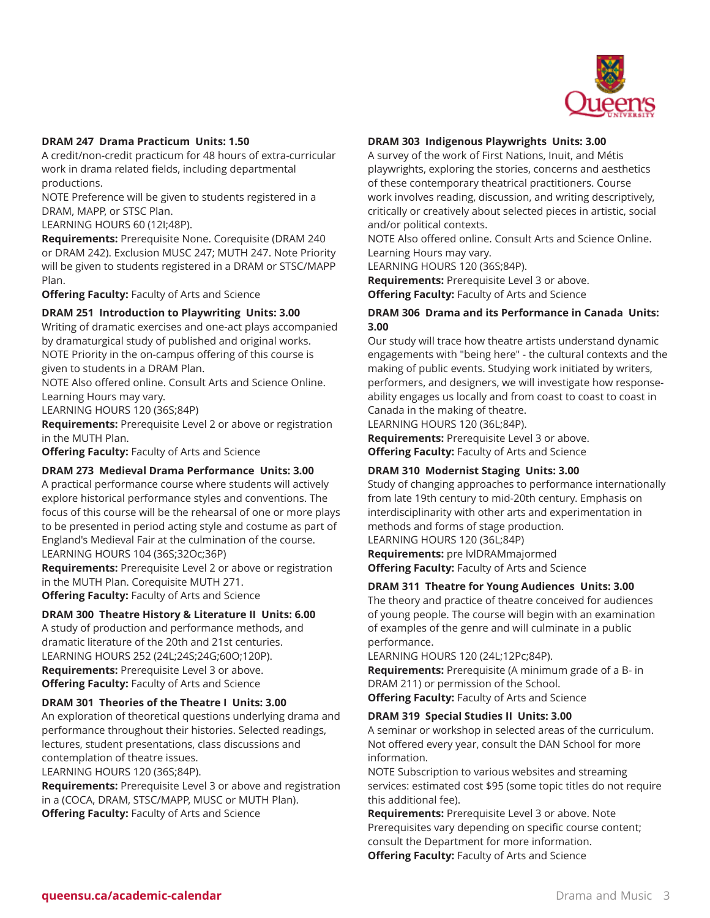

# **DRAM 247 Drama Practicum Units: 1.50**

A credit/non-credit practicum for 48 hours of extra-curricular work in drama related fields, including departmental productions.

NOTE Preference will be given to students registered in a DRAM, MAPP, or STSC Plan.

LEARNING HOURS 60 (12I;48P).

**Requirements:** Prerequisite None. Corequisite (DRAM 240 or DRAM 242). Exclusion MUSC 247; MUTH 247. Note Priority will be given to students registered in a DRAM or STSC/MAPP Plan.

**Offering Faculty:** Faculty of Arts and Science

# **DRAM 251 Introduction to Playwriting Units: 3.00**

Writing of dramatic exercises and one-act plays accompanied by dramaturgical study of published and original works. NOTE Priority in the on-campus offering of this course is given to students in a DRAM Plan.

NOTE Also offered online. Consult Arts and Science Online. Learning Hours may vary.

LEARNING HOURS 120 (36S;84P)

**Requirements:** Prerequisite Level 2 or above or registration in the MUTH Plan.

**Offering Faculty:** Faculty of Arts and Science

#### **DRAM 273 Medieval Drama Performance Units: 3.00**

A practical performance course where students will actively explore historical performance styles and conventions. The focus of this course will be the rehearsal of one or more plays to be presented in period acting style and costume as part of England's Medieval Fair at the culmination of the course. LEARNING HOURS 104 (36S;32Oc;36P)

**Requirements:** Prerequisite Level 2 or above or registration in the MUTH Plan. Corequisite MUTH 271.

**Offering Faculty:** Faculty of Arts and Science

# **DRAM 300 Theatre History & Literature II Units: 6.00**

A study of production and performance methods, and dramatic literature of the 20th and 21st centuries. LEARNING HOURS 252 (24L;24S;24G;60O;120P). **Requirements:** Prerequisite Level 3 or above. **Offering Faculty:** Faculty of Arts and Science

# **DRAM 301 Theories of the Theatre I Units: 3.00**

An exploration of theoretical questions underlying drama and performance throughout their histories. Selected readings, lectures, student presentations, class discussions and contemplation of theatre issues.

LEARNING HOURS 120 (36S;84P).

**Requirements:** Prerequisite Level 3 or above and registration in a (COCA, DRAM, STSC/MAPP, MUSC or MUTH Plan). **Offering Faculty:** Faculty of Arts and Science

#### **DRAM 303 Indigenous Playwrights Units: 3.00**

A survey of the work of First Nations, Inuit, and Métis playwrights, exploring the stories, concerns and aesthetics of these contemporary theatrical practitioners. Course work involves reading, discussion, and writing descriptively, critically or creatively about selected pieces in artistic, social and/or political contexts.

NOTE Also offered online. Consult Arts and Science Online. Learning Hours may vary.

LEARNING HOURS 120 (36S;84P).

**Requirements:** Prerequisite Level 3 or above. **Offering Faculty:** Faculty of Arts and Science

# **DRAM 306 Drama and its Performance in Canada Units: 3.00**

Our study will trace how theatre artists understand dynamic engagements with "being here" - the cultural contexts and the making of public events. Studying work initiated by writers, performers, and designers, we will investigate how responseability engages us locally and from coast to coast to coast in Canada in the making of theatre.

LEARNING HOURS 120 (36L;84P).

**Requirements:** Prerequisite Level 3 or above. **Offering Faculty:** Faculty of Arts and Science

#### **DRAM 310 Modernist Staging Units: 3.00**

Study of changing approaches to performance internationally from late 19th century to mid-20th century. Emphasis on interdisciplinarity with other arts and experimentation in methods and forms of stage production. LEARNING HOURS 120 (36L;84P)

**Requirements:** pre lvlDRAMmajormed **Offering Faculty:** Faculty of Arts and Science

# **DRAM 311 Theatre for Young Audiences Units: 3.00**

The theory and practice of theatre conceived for audiences of young people. The course will begin with an examination of examples of the genre and will culminate in a public performance.

LEARNING HOURS 120 (24L;12Pc;84P).

**Requirements:** Prerequisite (A minimum grade of a B- in DRAM 211) or permission of the School.

**Offering Faculty:** Faculty of Arts and Science

#### **DRAM 319 Special Studies II Units: 3.00**

A seminar or workshop in selected areas of the curriculum. Not offered every year, consult the DAN School for more information.

NOTE Subscription to various websites and streaming services: estimated cost \$95 (some topic titles do not require this additional fee).

**Requirements:** Prerequisite Level 3 or above. Note Prerequisites vary depending on specific course content; consult the Department for more information. **Offering Faculty:** Faculty of Arts and Science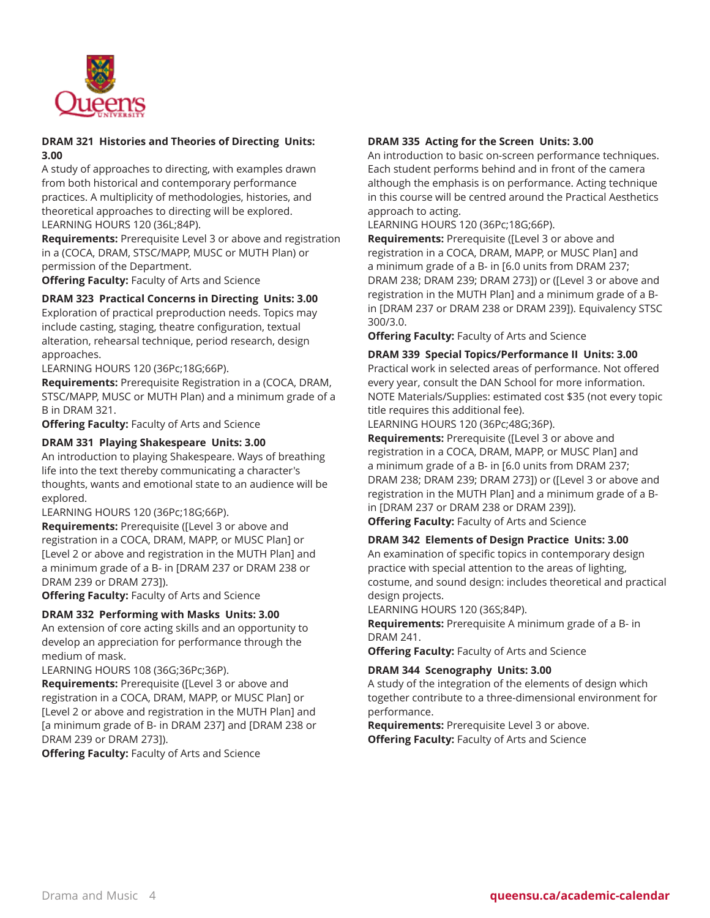

# **DRAM 321 Histories and Theories of Directing Units: 3.00**

A study of approaches to directing, with examples drawn from both historical and contemporary performance practices. A multiplicity of methodologies, histories, and theoretical approaches to directing will be explored. LEARNING HOURS 120 (36L;84P).

**Requirements:** Prerequisite Level 3 or above and registration in a (COCA, DRAM, STSC/MAPP, MUSC or MUTH Plan) or permission of the Department.

**Offering Faculty:** Faculty of Arts and Science

# **DRAM 323 Practical Concerns in Directing Units: 3.00**

Exploration of practical preproduction needs. Topics may include casting, staging, theatre configuration, textual alteration, rehearsal technique, period research, design approaches.

LEARNING HOURS 120 (36Pc;18G;66P).

**Requirements:** Prerequisite Registration in a (COCA, DRAM, STSC/MAPP, MUSC or MUTH Plan) and a minimum grade of a B in DRAM 321.

**Offering Faculty:** Faculty of Arts and Science

# **DRAM 331 Playing Shakespeare Units: 3.00**

An introduction to playing Shakespeare. Ways of breathing life into the text thereby communicating a character's thoughts, wants and emotional state to an audience will be explored.

LEARNING HOURS 120 (36Pc;18G;66P).

**Requirements:** Prerequisite ([Level 3 or above and registration in a COCA, DRAM, MAPP, or MUSC Plan] or [Level 2 or above and registration in the MUTH Plan] and a minimum grade of a B- in [DRAM 237 or DRAM 238 or DRAM 239 or DRAM 273]).

**Offering Faculty:** Faculty of Arts and Science

# **DRAM 332 Performing with Masks Units: 3.00**

An extension of core acting skills and an opportunity to develop an appreciation for performance through the medium of mask.

LEARNING HOURS 108 (36G;36Pc;36P).

**Requirements:** Prerequisite ([Level 3 or above and registration in a COCA, DRAM, MAPP, or MUSC Plan] or [Level 2 or above and registration in the MUTH Plan] and [a minimum grade of B- in DRAM 237] and [DRAM 238 or DRAM 239 or DRAM 273]).

**Offering Faculty:** Faculty of Arts and Science

# **DRAM 335 Acting for the Screen Units: 3.00**

An introduction to basic on-screen performance techniques. Each student performs behind and in front of the camera although the emphasis is on performance. Acting technique in this course will be centred around the Practical Aesthetics approach to acting.

LEARNING HOURS 120 (36Pc;18G;66P).

**Requirements:** Prerequisite ([Level 3 or above and registration in a COCA, DRAM, MAPP, or MUSC Plan] and a minimum grade of a B- in [6.0 units from DRAM 237; DRAM 238; DRAM 239; DRAM 273]) or ([Level 3 or above and registration in the MUTH Plan] and a minimum grade of a Bin [DRAM 237 or DRAM 238 or DRAM 239]). Equivalency STSC 300/3.0.

**Offering Faculty:** Faculty of Arts and Science

**DRAM 339 Special Topics/Performance II Units: 3.00** Practical work in selected areas of performance. Not offered every year, consult the DAN School for more information. NOTE Materials/Supplies: estimated cost \$35 (not every topic title requires this additional fee).

LEARNING HOURS 120 (36Pc;48G;36P).

**Requirements:** Prerequisite ([Level 3 or above and registration in a COCA, DRAM, MAPP, or MUSC Plan] and a minimum grade of a B- in [6.0 units from DRAM 237; DRAM 238; DRAM 239; DRAM 273]) or ([Level 3 or above and registration in the MUTH Plan] and a minimum grade of a Bin [DRAM 237 or DRAM 238 or DRAM 239]).

**Offering Faculty:** Faculty of Arts and Science

# **DRAM 342 Elements of Design Practice Units: 3.00**

An examination of specific topics in contemporary design practice with special attention to the areas of lighting, costume, and sound design: includes theoretical and practical design projects.

LEARNING HOURS 120 (36S;84P).

**Requirements:** Prerequisite A minimum grade of a B- in DRAM 241.

**Offering Faculty:** Faculty of Arts and Science

# **DRAM 344 Scenography Units: 3.00**

A study of the integration of the elements of design which together contribute to a three-dimensional environment for performance.

**Requirements:** Prerequisite Level 3 or above. **Offering Faculty:** Faculty of Arts and Science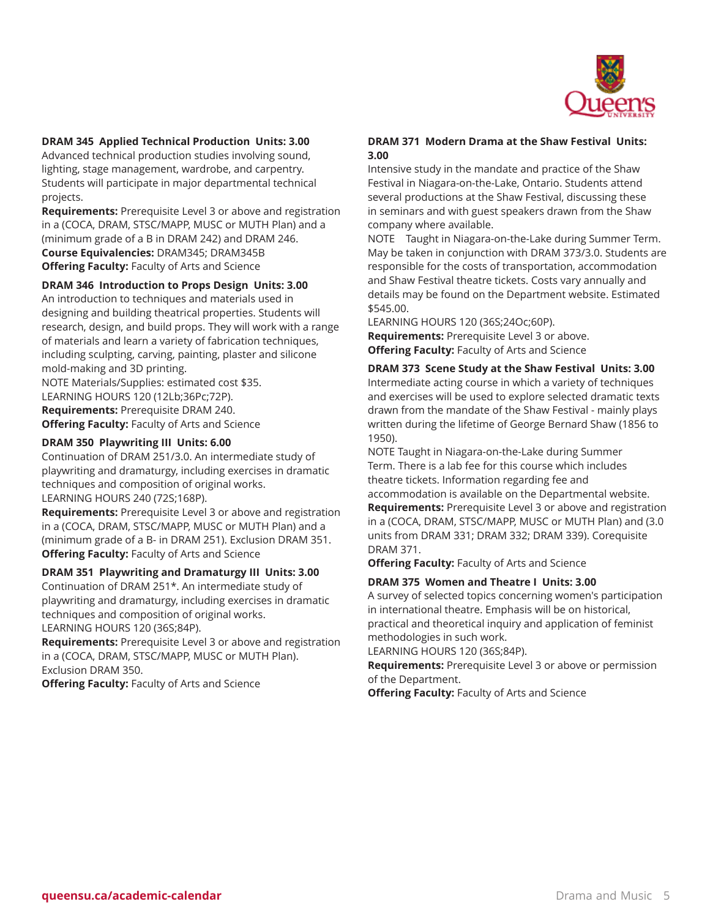

# **DRAM 345 Applied Technical Production Units: 3.00**

Advanced technical production studies involving sound, lighting, stage management, wardrobe, and carpentry. Students will participate in major departmental technical projects.

**Requirements:** Prerequisite Level 3 or above and registration in a (COCA, DRAM, STSC/MAPP, MUSC or MUTH Plan) and a (minimum grade of a B in DRAM 242) and DRAM 246. **Course Equivalencies:** DRAM345; DRAM345B **Offering Faculty:** Faculty of Arts and Science

# **DRAM 346 Introduction to Props Design Units: 3.00**

An introduction to techniques and materials used in designing and building theatrical properties. Students will research, design, and build props. They will work with a range of materials and learn a variety of fabrication techniques, including sculpting, carving, painting, plaster and silicone mold-making and 3D printing.

NOTE Materials/Supplies: estimated cost \$35. LEARNING HOURS 120 (12Lb;36Pc;72P). **Requirements:** Prerequisite DRAM 240. **Offering Faculty:** Faculty of Arts and Science

# **DRAM 350 Playwriting III Units: 6.00**

Continuation of DRAM 251/3.0. An intermediate study of playwriting and dramaturgy, including exercises in dramatic techniques and composition of original works. LEARNING HOURS 240 (72S;168P).

**Requirements:** Prerequisite Level 3 or above and registration in a (COCA, DRAM, STSC/MAPP, MUSC or MUTH Plan) and a (minimum grade of a B- in DRAM 251). Exclusion DRAM 351. **Offering Faculty:** Faculty of Arts and Science

# **DRAM 351 Playwriting and Dramaturgy III Units: 3.00**

Continuation of DRAM 251\*. An intermediate study of playwriting and dramaturgy, including exercises in dramatic techniques and composition of original works.

LEARNING HOURS 120 (36S;84P).

**Requirements:** Prerequisite Level 3 or above and registration in a (COCA, DRAM, STSC/MAPP, MUSC or MUTH Plan). Exclusion DRAM 350.

**Offering Faculty:** Faculty of Arts and Science

# **DRAM 371 Modern Drama at the Shaw Festival Units: 3.00**

Intensive study in the mandate and practice of the Shaw Festival in Niagara-on-the-Lake, Ontario. Students attend several productions at the Shaw Festival, discussing these in seminars and with guest speakers drawn from the Shaw company where available.

NOTE Taught in Niagara-on-the-Lake during Summer Term. May be taken in conjunction with DRAM 373/3.0. Students are responsible for the costs of transportation, accommodation and Shaw Festival theatre tickets. Costs vary annually and details may be found on the Department website. Estimated \$545.00.

LEARNING HOURS 120 (36S;24Oc;60P). **Requirements:** Prerequisite Level 3 or above. **Offering Faculty:** Faculty of Arts and Science

# **DRAM 373 Scene Study at the Shaw Festival Units: 3.00**

Intermediate acting course in which a variety of techniques and exercises will be used to explore selected dramatic texts drawn from the mandate of the Shaw Festival - mainly plays written during the lifetime of George Bernard Shaw (1856 to 1950).

NOTE Taught in Niagara-on-the-Lake during Summer Term. There is a lab fee for this course which includes theatre tickets. Information regarding fee and

accommodation is available on the Departmental website. **Requirements:** Prerequisite Level 3 or above and registration in a (COCA, DRAM, STSC/MAPP, MUSC or MUTH Plan) and (3.0 units from DRAM 331; DRAM 332; DRAM 339). Corequisite DRAM 371.

**Offering Faculty:** Faculty of Arts and Science

#### **DRAM 375 Women and Theatre I Units: 3.00**

A survey of selected topics concerning women's participation in international theatre. Emphasis will be on historical, practical and theoretical inquiry and application of feminist methodologies in such work.

LEARNING HOURS 120 (36S;84P).

**Requirements:** Prerequisite Level 3 or above or permission of the Department.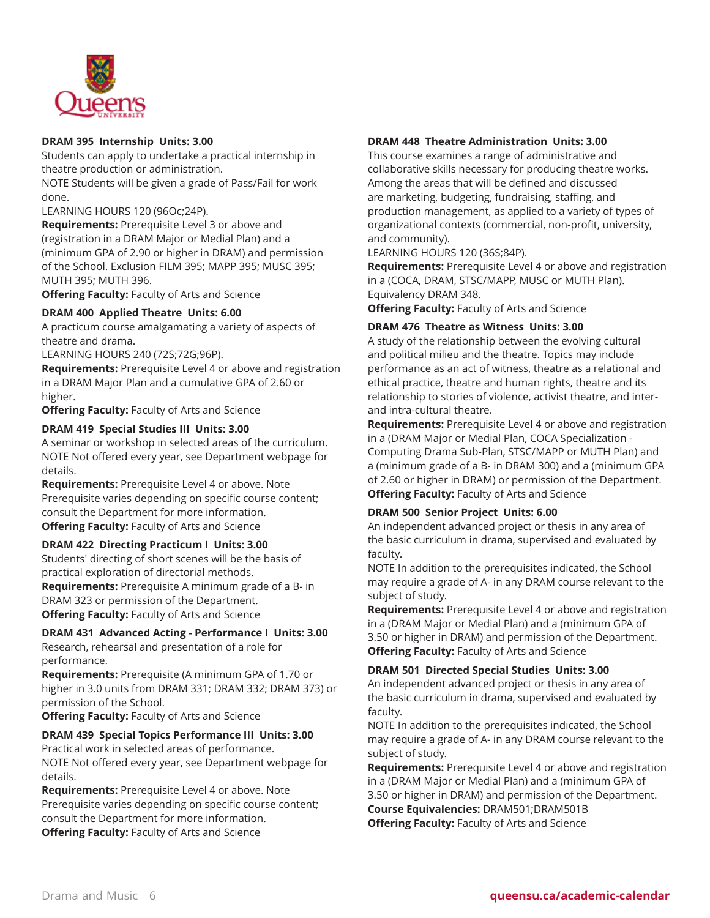

# **DRAM 395 Internship Units: 3.00**

Students can apply to undertake a practical internship in theatre production or administration.

NOTE Students will be given a grade of Pass/Fail for work done.

LEARNING HOURS 120 (96Oc;24P).

**Requirements:** Prerequisite Level 3 or above and (registration in a DRAM Major or Medial Plan) and a (minimum GPA of 2.90 or higher in DRAM) and permission of the School. Exclusion FILM 395; MAPP 395; MUSC 395; MUTH 395; MUTH 396.

**Offering Faculty:** Faculty of Arts and Science

# **DRAM 400 Applied Theatre Units: 6.00**

A practicum course amalgamating a variety of aspects of theatre and drama.

LEARNING HOURS 240 (72S;72G;96P).

**Requirements:** Prerequisite Level 4 or above and registration in a DRAM Major Plan and a cumulative GPA of 2.60 or higher.

**Offering Faculty:** Faculty of Arts and Science

# **DRAM 419 Special Studies III Units: 3.00**

A seminar or workshop in selected areas of the curriculum. NOTE Not offered every year, see Department webpage for details.

**Requirements:** Prerequisite Level 4 or above. Note Prerequisite varies depending on specific course content; consult the Department for more information. **Offering Faculty:** Faculty of Arts and Science

# **DRAM 422 Directing Practicum I Units: 3.00**

Students' directing of short scenes will be the basis of practical exploration of directorial methods.

**Requirements:** Prerequisite A minimum grade of a B- in DRAM 323 or permission of the Department. **Offering Faculty:** Faculty of Arts and Science

# **DRAM 431 Advanced Acting - Performance I Units: 3.00**

Research, rehearsal and presentation of a role for performance.

**Requirements:** Prerequisite (A minimum GPA of 1.70 or higher in 3.0 units from DRAM 331; DRAM 332; DRAM 373) or permission of the School.

**Offering Faculty:** Faculty of Arts and Science

# **DRAM 439 Special Topics Performance III Units: 3.00**

Practical work in selected areas of performance. NOTE Not offered every year, see Department webpage for details.

**Requirements:** Prerequisite Level 4 or above. Note Prerequisite varies depending on specific course content; consult the Department for more information. **Offering Faculty:** Faculty of Arts and Science

# **DRAM 448 Theatre Administration Units: 3.00**

This course examines a range of administrative and collaborative skills necessary for producing theatre works. Among the areas that will be defined and discussed are marketing, budgeting, fundraising, staffing, and production management, as applied to a variety of types of organizational contexts (commercial, non-profit, university, and community).

LEARNING HOURS 120 (36S;84P).

**Requirements:** Prerequisite Level 4 or above and registration in a (COCA, DRAM, STSC/MAPP, MUSC or MUTH Plan). Equivalency DRAM 348.

**Offering Faculty:** Faculty of Arts and Science

# **DRAM 476 Theatre as Witness Units: 3.00**

A study of the relationship between the evolving cultural and political milieu and the theatre. Topics may include performance as an act of witness, theatre as a relational and ethical practice, theatre and human rights, theatre and its relationship to stories of violence, activist theatre, and interand intra-cultural theatre.

**Requirements:** Prerequisite Level 4 or above and registration in a (DRAM Major or Medial Plan, COCA Specialization - Computing Drama Sub-Plan, STSC/MAPP or MUTH Plan) and a (minimum grade of a B- in DRAM 300) and a (minimum GPA of 2.60 or higher in DRAM) or permission of the Department. **Offering Faculty:** Faculty of Arts and Science

# **DRAM 500 Senior Project Units: 6.00**

An independent advanced project or thesis in any area of the basic curriculum in drama, supervised and evaluated by faculty.

NOTE In addition to the prerequisites indicated, the School may require a grade of A- in any DRAM course relevant to the subject of study.

**Requirements:** Prerequisite Level 4 or above and registration in a (DRAM Major or Medial Plan) and a (minimum GPA of 3.50 or higher in DRAM) and permission of the Department. **Offering Faculty:** Faculty of Arts and Science

# **DRAM 501 Directed Special Studies Units: 3.00**

An independent advanced project or thesis in any area of the basic curriculum in drama, supervised and evaluated by faculty.

NOTE In addition to the prerequisites indicated, the School may require a grade of A- in any DRAM course relevant to the subject of study.

**Requirements:** Prerequisite Level 4 or above and registration in a (DRAM Major or Medial Plan) and a (minimum GPA of 3.50 or higher in DRAM) and permission of the Department.

**Course Equivalencies:** DRAM501;DRAM501B **Offering Faculty:** Faculty of Arts and Science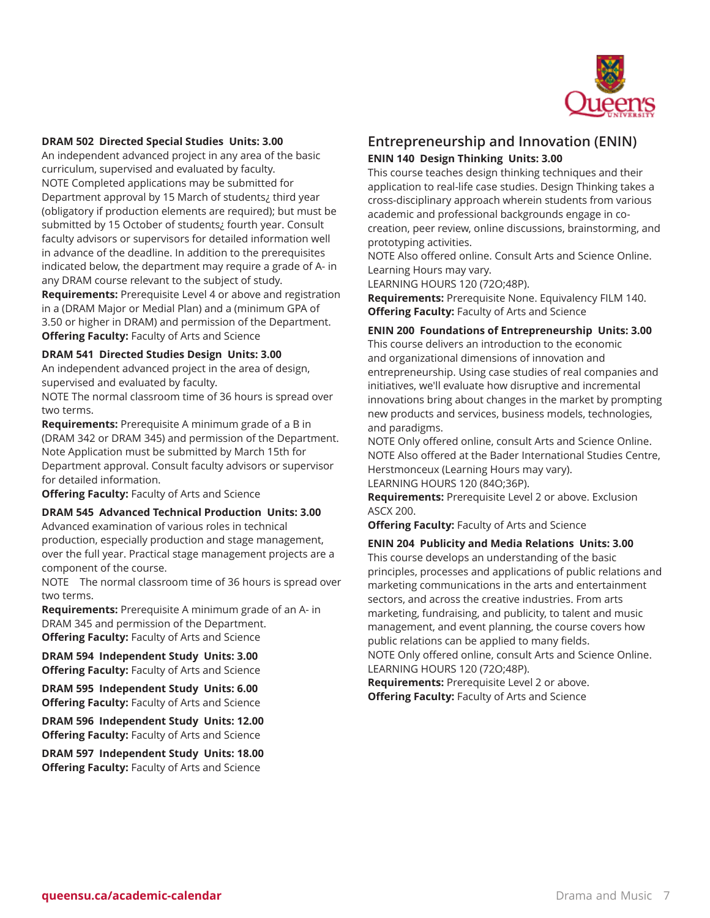

# **DRAM 502 Directed Special Studies Units: 3.00**

An independent advanced project in any area of the basic curriculum, supervised and evaluated by faculty. NOTE Completed applications may be submitted for Department approval by 15 March of students¿ third year (obligatory if production elements are required); but must be submitted by 15 October of students¿ fourth year. Consult faculty advisors or supervisors for detailed information well in advance of the deadline. In addition to the prerequisites indicated below, the department may require a grade of A- in any DRAM course relevant to the subject of study.

**Requirements:** Prerequisite Level 4 or above and registration in a (DRAM Major or Medial Plan) and a (minimum GPA of 3.50 or higher in DRAM) and permission of the Department. **Offering Faculty:** Faculty of Arts and Science

#### **DRAM 541 Directed Studies Design Units: 3.00**

An independent advanced project in the area of design, supervised and evaluated by faculty.

NOTE The normal classroom time of 36 hours is spread over two terms.

**Requirements:** Prerequisite A minimum grade of a B in (DRAM 342 or DRAM 345) and permission of the Department. Note Application must be submitted by March 15th for Department approval. Consult faculty advisors or supervisor for detailed information.

**Offering Faculty:** Faculty of Arts and Science

#### **DRAM 545 Advanced Technical Production Units: 3.00**

Advanced examination of various roles in technical production, especially production and stage management, over the full year. Practical stage management projects are a component of the course.

NOTE The normal classroom time of 36 hours is spread over two terms.

**Requirements:** Prerequisite A minimum grade of an A- in DRAM 345 and permission of the Department. **Offering Faculty:** Faculty of Arts and Science

**DRAM 594 Independent Study Units: 3.00 Offering Faculty:** Faculty of Arts and Science

**DRAM 595 Independent Study Units: 6.00 Offering Faculty:** Faculty of Arts and Science

**DRAM 596 Independent Study Units: 12.00 Offering Faculty:** Faculty of Arts and Science

**DRAM 597 Independent Study Units: 18.00 Offering Faculty:** Faculty of Arts and Science

# **Entrepreneurship and Innovation (ENIN) ENIN 140 Design Thinking Units: 3.00**

This course teaches design thinking techniques and their application to real-life case studies. Design Thinking takes a cross-disciplinary approach wherein students from various academic and professional backgrounds engage in cocreation, peer review, online discussions, brainstorming, and prototyping activities.

NOTE Also offered online. Consult Arts and Science Online. Learning Hours may vary.

LEARNING HOURS 120 (72O;48P).

**Requirements:** Prerequisite None. Equivalency FILM 140. **Offering Faculty:** Faculty of Arts and Science

#### **ENIN 200 Foundations of Entrepreneurship Units: 3.00**

This course delivers an introduction to the economic and organizational dimensions of innovation and entrepreneurship. Using case studies of real companies and initiatives, we'll evaluate how disruptive and incremental innovations bring about changes in the market by prompting new products and services, business models, technologies, and paradigms.

NOTE Only offered online, consult Arts and Science Online. NOTE Also offered at the Bader International Studies Centre, Herstmonceux (Learning Hours may vary).

LEARNING HOURS 120 (84O;36P).

**Requirements:** Prerequisite Level 2 or above. Exclusion ASCX 200.

**Offering Faculty:** Faculty of Arts and Science

#### **ENIN 204 Publicity and Media Relations Units: 3.00**

This course develops an understanding of the basic principles, processes and applications of public relations and marketing communications in the arts and entertainment sectors, and across the creative industries. From arts marketing, fundraising, and publicity, to talent and music management, and event planning, the course covers how public relations can be applied to many fields. NOTE Only offered online, consult Arts and Science Online.

LEARNING HOURS 120 (72O;48P).

**Requirements:** Prerequisite Level 2 or above. **Offering Faculty:** Faculty of Arts and Science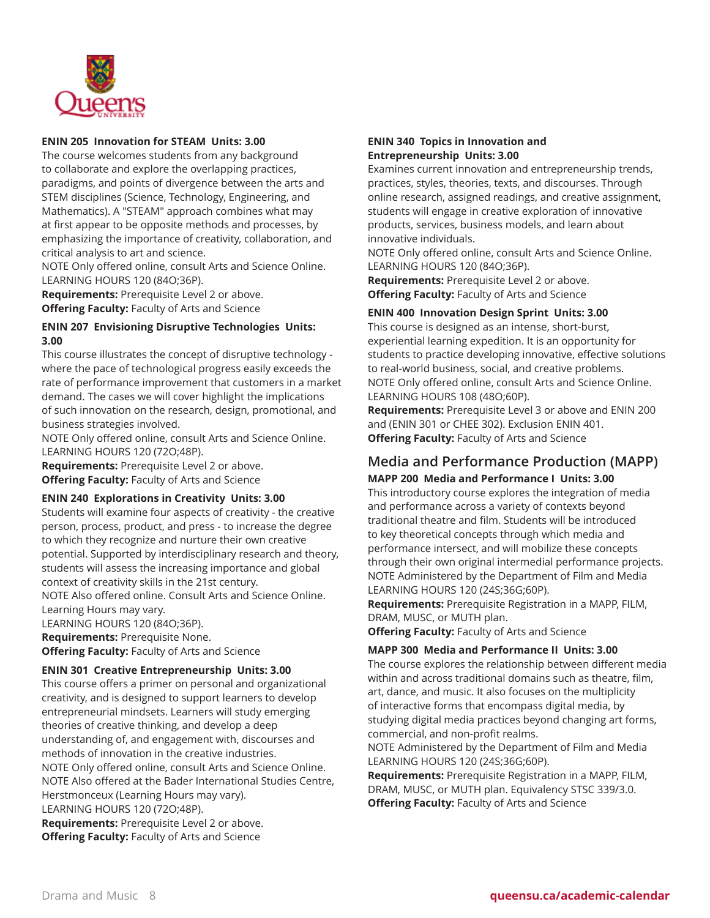

# **ENIN 205 Innovation for STEAM Units: 3.00**

The course welcomes students from any background to collaborate and explore the overlapping practices, paradigms, and points of divergence between the arts and STEM disciplines (Science, Technology, Engineering, and Mathematics). A "STEAM" approach combines what may at first appear to be opposite methods and processes, by emphasizing the importance of creativity, collaboration, and critical analysis to art and science.

NOTE Only offered online, consult Arts and Science Online. LEARNING HOURS 120 (84O;36P).

**Requirements:** Prerequisite Level 2 or above. **Offering Faculty:** Faculty of Arts and Science

# **ENIN 207 Envisioning Disruptive Technologies Units: 3.00**

This course illustrates the concept of disruptive technology where the pace of technological progress easily exceeds the rate of performance improvement that customers in a market demand. The cases we will cover highlight the implications of such innovation on the research, design, promotional, and business strategies involved.

NOTE Only offered online, consult Arts and Science Online. LEARNING HOURS 120 (72O;48P).

**Requirements:** Prerequisite Level 2 or above. **Offering Faculty:** Faculty of Arts and Science

# **ENIN 240 Explorations in Creativity Units: 3.00**

Students will examine four aspects of creativity - the creative person, process, product, and press - to increase the degree to which they recognize and nurture their own creative potential. Supported by interdisciplinary research and theory, students will assess the increasing importance and global context of creativity skills in the 21st century.

NOTE Also offered online. Consult Arts and Science Online. Learning Hours may vary.

LEARNING HOURS 120 (84O;36P).

**Requirements:** Prerequisite None. **Offering Faculty:** Faculty of Arts and Science

# **ENIN 301 Creative Entrepreneurship Units: 3.00**

This course offers a primer on personal and organizational creativity, and is designed to support learners to develop entrepreneurial mindsets. Learners will study emerging theories of creative thinking, and develop a deep understanding of, and engagement with, discourses and methods of innovation in the creative industries. NOTE Only offered online, consult Arts and Science Online. NOTE Also offered at the Bader International Studies Centre, Herstmonceux (Learning Hours may vary). LEARNING HOURS 120 (72O;48P).

**Requirements:** Prerequisite Level 2 or above. **Offering Faculty:** Faculty of Arts and Science

# **ENIN 340 Topics in Innovation and Entrepreneurship Units: 3.00**

Examines current innovation and entrepreneurship trends, practices, styles, theories, texts, and discourses. Through online research, assigned readings, and creative assignment, students will engage in creative exploration of innovative products, services, business models, and learn about innovative individuals.

NOTE Only offered online, consult Arts and Science Online. LEARNING HOURS 120 (84O;36P).

**Requirements:** Prerequisite Level 2 or above. **Offering Faculty:** Faculty of Arts and Science

# **ENIN 400 Innovation Design Sprint Units: 3.00**

This course is designed as an intense, short-burst, experiential learning expedition. It is an opportunity for students to practice developing innovative, effective solutions to real-world business, social, and creative problems. NOTE Only offered online, consult Arts and Science Online. LEARNING HOURS 108 (48O;60P).

**Requirements:** Prerequisite Level 3 or above and ENIN 200 and (ENIN 301 or CHEE 302). Exclusion ENIN 401. **Offering Faculty:** Faculty of Arts and Science

# **Media and Performance Production (MAPP) MAPP 200 Media and Performance I Units: 3.00**

This introductory course explores the integration of media and performance across a variety of contexts beyond traditional theatre and film. Students will be introduced to key theoretical concepts through which media and performance intersect, and will mobilize these concepts through their own original intermedial performance projects. NOTE Administered by the Department of Film and Media LEARNING HOURS 120 (24S;36G;60P).

**Requirements:** Prerequisite Registration in a MAPP, FILM, DRAM, MUSC, or MUTH plan.

**Offering Faculty:** Faculty of Arts and Science

# **MAPP 300 Media and Performance II Units: 3.00**

The course explores the relationship between different media within and across traditional domains such as theatre, film, art, dance, and music. It also focuses on the multiplicity of interactive forms that encompass digital media, by studying digital media practices beyond changing art forms, commercial, and non-profit realms.

NOTE Administered by the Department of Film and Media LEARNING HOURS 120 (24S;36G;60P).

**Requirements:** Prerequisite Registration in a MAPP, FILM, DRAM, MUSC, or MUTH plan. Equivalency STSC 339/3.0. **Offering Faculty:** Faculty of Arts and Science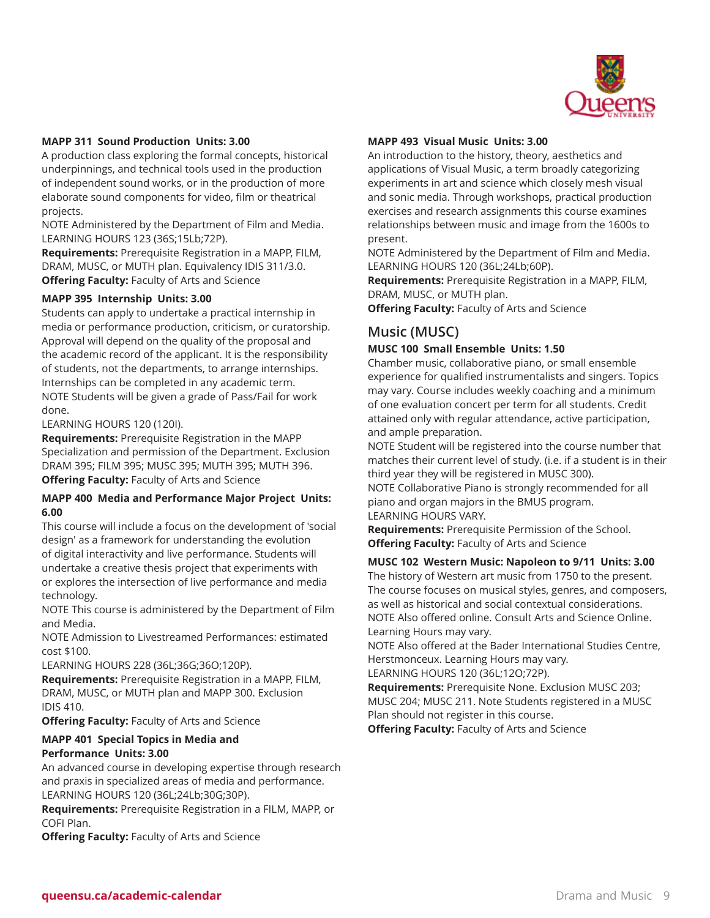

# **MAPP 311 Sound Production Units: 3.00**

A production class exploring the formal concepts, historical underpinnings, and technical tools used in the production of independent sound works, or in the production of more elaborate sound components for video, film or theatrical projects.

NOTE Administered by the Department of Film and Media. LEARNING HOURS 123 (36S;15Lb;72P).

**Requirements:** Prerequisite Registration in a MAPP, FILM, DRAM, MUSC, or MUTH plan. Equivalency IDIS 311/3.0. **Offering Faculty:** Faculty of Arts and Science

# **MAPP 395 Internship Units: 3.00**

Students can apply to undertake a practical internship in media or performance production, criticism, or curatorship. Approval will depend on the quality of the proposal and the academic record of the applicant. It is the responsibility of students, not the departments, to arrange internships. Internships can be completed in any academic term. NOTE Students will be given a grade of Pass/Fail for work done.

LEARNING HOURS 120 (120I).

**Requirements:** Prerequisite Registration in the MAPP Specialization and permission of the Department. Exclusion DRAM 395; FILM 395; MUSC 395; MUTH 395; MUTH 396. **Offering Faculty:** Faculty of Arts and Science

# **MAPP 400 Media and Performance Major Project Units: 6.00**

This course will include a focus on the development of 'social design' as a framework for understanding the evolution of digital interactivity and live performance. Students will undertake a creative thesis project that experiments with or explores the intersection of live performance and media technology.

NOTE This course is administered by the Department of Film and Media.

NOTE Admission to Livestreamed Performances: estimated cost \$100.

LEARNING HOURS 228 (36L;36G;36O;120P).

**Requirements:** Prerequisite Registration in a MAPP, FILM, DRAM, MUSC, or MUTH plan and MAPP 300. Exclusion IDIS 410.

**Offering Faculty:** Faculty of Arts and Science

# **MAPP 401 Special Topics in Media and Performance Units: 3.00**

An advanced course in developing expertise through research and praxis in specialized areas of media and performance. LEARNING HOURS 120 (36L;24Lb;30G;30P).

**Requirements:** Prerequisite Registration in a FILM, MAPP, or COFI Plan.

**Offering Faculty:** Faculty of Arts and Science

# **MAPP 493 Visual Music Units: 3.00**

An introduction to the history, theory, aesthetics and applications of Visual Music, a term broadly categorizing experiments in art and science which closely mesh visual and sonic media. Through workshops, practical production exercises and research assignments this course examines relationships between music and image from the 1600s to present.

NOTE Administered by the Department of Film and Media. LEARNING HOURS 120 (36L;24Lb;60P).

**Requirements:** Prerequisite Registration in a MAPP, FILM, DRAM, MUSC, or MUTH plan.

**Offering Faculty:** Faculty of Arts and Science

# **Music (MUSC)**

#### **MUSC 100 Small Ensemble Units: 1.50**

Chamber music, collaborative piano, or small ensemble experience for qualified instrumentalists and singers. Topics may vary. Course includes weekly coaching and a minimum of one evaluation concert per term for all students. Credit attained only with regular attendance, active participation, and ample preparation.

NOTE Student will be registered into the course number that matches their current level of study. (i.e. if a student is in their third year they will be registered in MUSC 300). NOTE Collaborative Piano is strongly recommended for all

piano and organ majors in the BMUS program. LEARNING HOURS VARY.

**Requirements:** Prerequisite Permission of the School. **Offering Faculty:** Faculty of Arts and Science

**MUSC 102 Western Music: Napoleon to 9/11 Units: 3.00**

The history of Western art music from 1750 to the present. The course focuses on musical styles, genres, and composers, as well as historical and social contextual considerations. NOTE Also offered online. Consult Arts and Science Online. Learning Hours may vary.

NOTE Also offered at the Bader International Studies Centre, Herstmonceux. Learning Hours may vary.

LEARNING HOURS 120 (36L;12O;72P).

**Requirements:** Prerequisite None. Exclusion MUSC 203; MUSC 204; MUSC 211. Note Students registered in a MUSC Plan should not register in this course.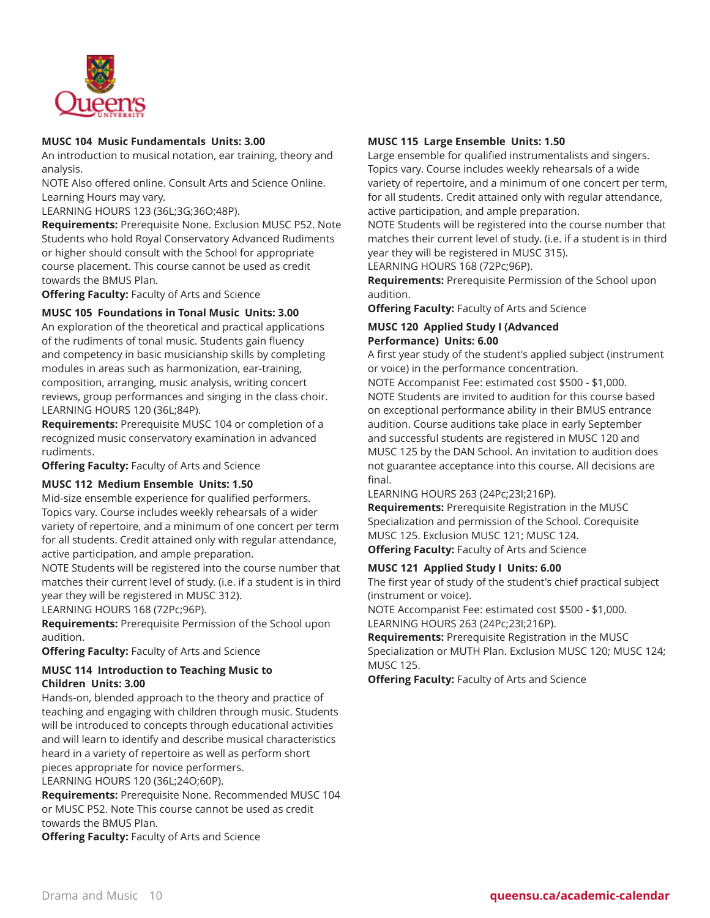

# **MUSC 104 Music Fundamentals Units: 3.00**

An introduction to musical notation, ear training, theory and analysis.

NOTE Also offered online. Consult Arts and Science Online. Learning Hours may vary.

LEARNING HOURS 123 (36L;3G;36O;48P).

**Requirements:** Prerequisite None. Exclusion MUSC P52. Note Students who hold Royal Conservatory Advanced Rudiments or higher should consult with the School for appropriate course placement. This course cannot be used as credit towards the BMUS Plan.

**Offering Faculty:** Faculty of Arts and Science

# **MUSC 105 Foundations in Tonal Music Units: 3.00**

An exploration of the theoretical and practical applications of the rudiments of tonal music. Students gain fluency and competency in basic musicianship skills by completing modules in areas such as harmonization, ear-training, composition, arranging, music analysis, writing concert reviews, group performances and singing in the class choir. LEARNING HOURS 120 (36L;84P).

**Requirements:** Prerequisite MUSC 104 or completion of a recognized music conservatory examination in advanced rudiments.

**Offering Faculty:** Faculty of Arts and Science

# **MUSC 112 Medium Ensemble Units: 1.50**

Mid-size ensemble experience for qualified performers. Topics vary. Course includes weekly rehearsals of a wider variety of repertoire, and a minimum of one concert per term for all students. Credit attained only with regular attendance, active participation, and ample preparation.

NOTE Students will be registered into the course number that matches their current level of study. (i.e. if a student is in third year they will be registered in MUSC 312).

LEARNING HOURS 168 (72Pc;96P).

**Requirements:** Prerequisite Permission of the School upon audition.

**Offering Faculty:** Faculty of Arts and Science

# **MUSC 114 Introduction to Teaching Music to Children Units: 3.00**

Hands-on, blended approach to the theory and practice of teaching and engaging with children through music. Students will be introduced to concepts through educational activities and will learn to identify and describe musical characteristics heard in a variety of repertoire as well as perform short pieces appropriate for novice performers. LEARNING HOURS 120 (36L;24O;60P).

**Requirements:** Prerequisite None. Recommended MUSC 104 or MUSC P52. Note This course cannot be used as credit towards the BMUS Plan.

**Offering Faculty:** Faculty of Arts and Science

# **MUSC 115 Large Ensemble Units: 1.50**

Large ensemble for qualified instrumentalists and singers. Topics vary. Course includes weekly rehearsals of a wide variety of repertoire, and a minimum of one concert per term, for all students. Credit attained only with regular attendance, active participation, and ample preparation.

NOTE Students will be registered into the course number that matches their current level of study. (i.e. if a student is in third year they will be registered in MUSC 315).

LEARNING HOURS 168 (72Pc;96P).

**Requirements:** Prerequisite Permission of the School upon audition.

**Offering Faculty:** Faculty of Arts and Science

#### **MUSC 120 Applied Study I (Advanced Performance) Units: 6.00**

A first year study of the student's applied subject (instrument or voice) in the performance concentration.

NOTE Accompanist Fee: estimated cost \$500 - \$1,000. NOTE Students are invited to audition for this course based on exceptional performance ability in their BMUS entrance audition. Course auditions take place in early September and successful students are registered in MUSC 120 and MUSC 125 by the DAN School. An invitation to audition does not guarantee acceptance into this course. All decisions are final.

LEARNING HOURS 263 (24Pc;23I;216P).

**Requirements:** Prerequisite Registration in the MUSC Specialization and permission of the School. Corequisite MUSC 125. Exclusion MUSC 121; MUSC 124.

**Offering Faculty:** Faculty of Arts and Science

# **MUSC 121 Applied Study I Units: 6.00**

The first year of study of the student's chief practical subject (instrument or voice).

NOTE Accompanist Fee: estimated cost \$500 - \$1,000. LEARNING HOURS 263 (24Pc;23I;216P).

**Requirements:** Prerequisite Registration in the MUSC Specialization or MUTH Plan. Exclusion MUSC 120; MUSC 124; MUSC 125.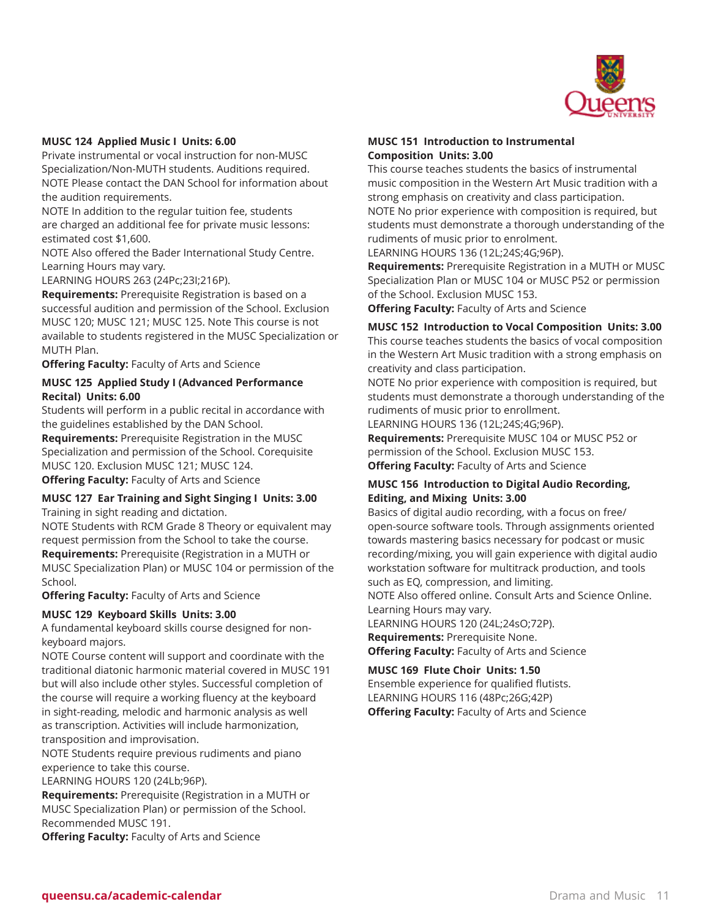

# **MUSC 124 Applied Music I Units: 6.00**

Private instrumental or vocal instruction for non-MUSC Specialization/Non-MUTH students. Auditions required. NOTE Please contact the DAN School for information about the audition requirements.

NOTE In addition to the regular tuition fee, students are charged an additional fee for private music lessons: estimated cost \$1,600.

NOTE Also offered the Bader International Study Centre. Learning Hours may vary.

LEARNING HOURS 263 (24Pc;23I;216P).

**Requirements:** Prerequisite Registration is based on a successful audition and permission of the School. Exclusion MUSC 120; MUSC 121; MUSC 125. Note This course is not available to students registered in the MUSC Specialization or MUTH Plan.

**Offering Faculty:** Faculty of Arts and Science

# **MUSC 125 Applied Study I (Advanced Performance Recital) Units: 6.00**

Students will perform in a public recital in accordance with the guidelines established by the DAN School.

**Requirements:** Prerequisite Registration in the MUSC Specialization and permission of the School. Corequisite MUSC 120. Exclusion MUSC 121; MUSC 124. **Offering Faculty:** Faculty of Arts and Science

# **MUSC 127 Ear Training and Sight Singing I Units: 3.00**

Training in sight reading and dictation.

NOTE Students with RCM Grade 8 Theory or equivalent may request permission from the School to take the course. **Requirements:** Prerequisite (Registration in a MUTH or

MUSC Specialization Plan) or MUSC 104 or permission of the School.

**Offering Faculty:** Faculty of Arts and Science

# **MUSC 129 Keyboard Skills Units: 3.00**

A fundamental keyboard skills course designed for nonkeyboard majors.

NOTE Course content will support and coordinate with the traditional diatonic harmonic material covered in MUSC 191 but will also include other styles. Successful completion of the course will require a working fluency at the keyboard in sight-reading, melodic and harmonic analysis as well as transcription. Activities will include harmonization, transposition and improvisation.

NOTE Students require previous rudiments and piano experience to take this course.

LEARNING HOURS 120 (24Lb;96P).

**Requirements:** Prerequisite (Registration in a MUTH or MUSC Specialization Plan) or permission of the School. Recommended MUSC 191.

**Offering Faculty:** Faculty of Arts and Science

# **MUSC 151 Introduction to Instrumental Composition Units: 3.00**

This course teaches students the basics of instrumental music composition in the Western Art Music tradition with a strong emphasis on creativity and class participation. NOTE No prior experience with composition is required, but students must demonstrate a thorough understanding of the rudiments of music prior to enrolment.

LEARNING HOURS 136 (12L;24S;4G;96P).

**Requirements:** Prerequisite Registration in a MUTH or MUSC Specialization Plan or MUSC 104 or MUSC P52 or permission of the School. Exclusion MUSC 153.

**Offering Faculty:** Faculty of Arts and Science

**MUSC 152 Introduction to Vocal Composition Units: 3.00** This course teaches students the basics of vocal composition in the Western Art Music tradition with a strong emphasis on creativity and class participation.

NOTE No prior experience with composition is required, but students must demonstrate a thorough understanding of the rudiments of music prior to enrollment.

LEARNING HOURS 136 (12L;24S;4G;96P).

**Requirements:** Prerequisite MUSC 104 or MUSC P52 or permission of the School. Exclusion MUSC 153. **Offering Faculty:** Faculty of Arts and Science

# **MUSC 156 Introduction to Digital Audio Recording, Editing, and Mixing Units: 3.00**

Basics of digital audio recording, with a focus on free/ open-source software tools. Through assignments oriented towards mastering basics necessary for podcast or music recording/mixing, you will gain experience with digital audio workstation software for multitrack production, and tools such as EQ, compression, and limiting.

NOTE Also offered online. Consult Arts and Science Online. Learning Hours may vary.

LEARNING HOURS 120 (24L;24sO;72P). **Requirements:** Prerequisite None. **Offering Faculty:** Faculty of Arts and Science

**MUSC 169 Flute Choir Units: 1.50**

Ensemble experience for qualified flutists. LEARNING HOURS 116 (48Pc;26G;42P) **Offering Faculty:** Faculty of Arts and Science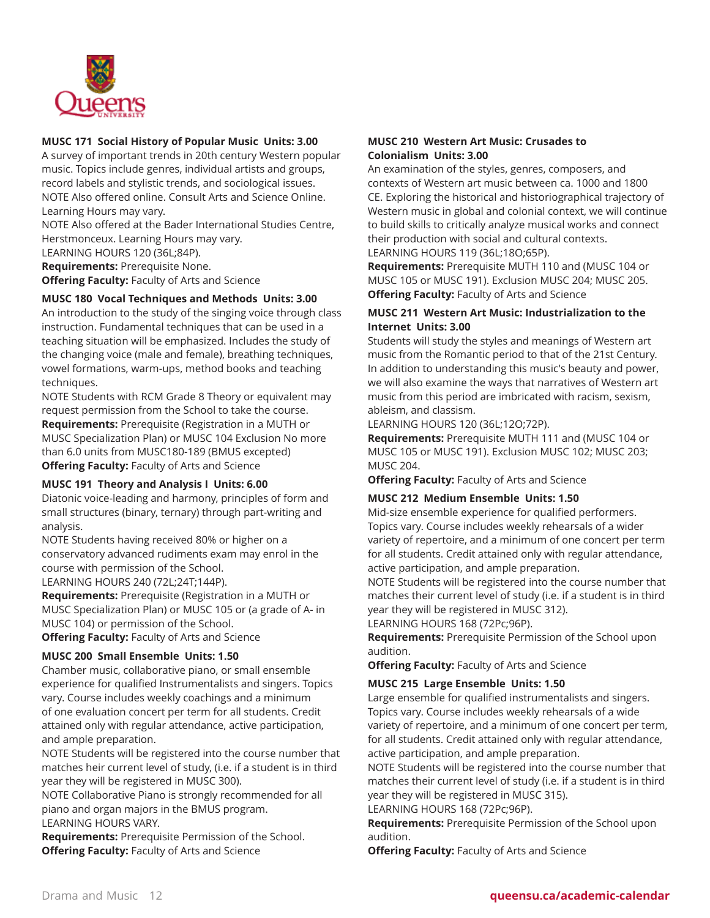

# **MUSC 171 Social History of Popular Music Units: 3.00**

A survey of important trends in 20th century Western popular music. Topics include genres, individual artists and groups, record labels and stylistic trends, and sociological issues. NOTE Also offered online. Consult Arts and Science Online. Learning Hours may vary.

NOTE Also offered at the Bader International Studies Centre, Herstmonceux. Learning Hours may vary.

LEARNING HOURS 120 (36L;84P).

**Requirements:** Prerequisite None.

**Offering Faculty:** Faculty of Arts and Science

# **MUSC 180 Vocal Techniques and Methods Units: 3.00**

An introduction to the study of the singing voice through class instruction. Fundamental techniques that can be used in a teaching situation will be emphasized. Includes the study of the changing voice (male and female), breathing techniques, vowel formations, warm-ups, method books and teaching techniques.

NOTE Students with RCM Grade 8 Theory or equivalent may request permission from the School to take the course. **Requirements:** Prerequisite (Registration in a MUTH or MUSC Specialization Plan) or MUSC 104 Exclusion No more than 6.0 units from MUSC180-189 (BMUS excepted) **Offering Faculty:** Faculty of Arts and Science

# **MUSC 191 Theory and Analysis I Units: 6.00**

Diatonic voice-leading and harmony, principles of form and small structures (binary, ternary) through part-writing and analysis.

NOTE Students having received 80% or higher on a conservatory advanced rudiments exam may enrol in the course with permission of the School.

LEARNING HOURS 240 (72L;24T;144P).

**Requirements:** Prerequisite (Registration in a MUTH or MUSC Specialization Plan) or MUSC 105 or (a grade of A- in MUSC 104) or permission of the School.

**Offering Faculty:** Faculty of Arts and Science

# **MUSC 200 Small Ensemble Units: 1.50**

Chamber music, collaborative piano, or small ensemble experience for qualified Instrumentalists and singers. Topics vary. Course includes weekly coachings and a minimum of one evaluation concert per term for all students. Credit attained only with regular attendance, active participation, and ample preparation.

NOTE Students will be registered into the course number that matches heir current level of study, (i.e. if a student is in third year they will be registered in MUSC 300).

NOTE Collaborative Piano is strongly recommended for all piano and organ majors in the BMUS program. LEARNING HOURS VARY.

**Requirements:** Prerequisite Permission of the School. **Offering Faculty:** Faculty of Arts and Science

# **MUSC 210 Western Art Music: Crusades to Colonialism Units: 3.00**

An examination of the styles, genres, composers, and contexts of Western art music between ca. 1000 and 1800 CE. Exploring the historical and historiographical trajectory of Western music in global and colonial context, we will continue to build skills to critically analyze musical works and connect their production with social and cultural contexts. LEARNING HOURS 119 (36L;18O;65P).

**Requirements:** Prerequisite MUTH 110 and (MUSC 104 or MUSC 105 or MUSC 191). Exclusion MUSC 204; MUSC 205. **Offering Faculty:** Faculty of Arts and Science

# **MUSC 211 Western Art Music: Industrialization to the Internet Units: 3.00**

Students will study the styles and meanings of Western art music from the Romantic period to that of the 21st Century. In addition to understanding this music's beauty and power, we will also examine the ways that narratives of Western art music from this period are imbricated with racism, sexism, ableism, and classism.

LEARNING HOURS 120 (36L;12O;72P).

**Requirements:** Prerequisite MUTH 111 and (MUSC 104 or MUSC 105 or MUSC 191). Exclusion MUSC 102; MUSC 203; MUSC 204.

**Offering Faculty:** Faculty of Arts and Science

# **MUSC 212 Medium Ensemble Units: 1.50**

Mid-size ensemble experience for qualified performers. Topics vary. Course includes weekly rehearsals of a wider variety of repertoire, and a minimum of one concert per term for all students. Credit attained only with regular attendance, active participation, and ample preparation.

NOTE Students will be registered into the course number that matches their current level of study (i.e. if a student is in third year they will be registered in MUSC 312).

LEARNING HOURS 168 (72Pc;96P).

**Requirements:** Prerequisite Permission of the School upon audition.

**Offering Faculty:** Faculty of Arts and Science

# **MUSC 215 Large Ensemble Units: 1.50**

Large ensemble for qualified instrumentalists and singers. Topics vary. Course includes weekly rehearsals of a wide variety of repertoire, and a minimum of one concert per term, for all students. Credit attained only with regular attendance, active participation, and ample preparation.

NOTE Students will be registered into the course number that matches their current level of study (i.e. if a student is in third year they will be registered in MUSC 315).

LEARNING HOURS 168 (72Pc;96P).

**Requirements:** Prerequisite Permission of the School upon audition.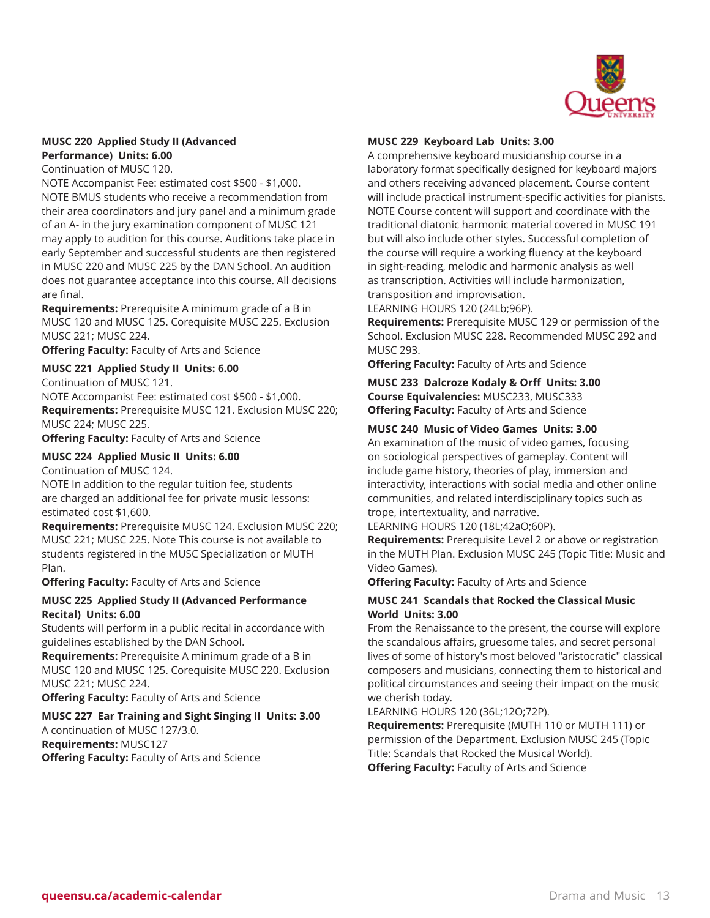

# **MUSC 220 Applied Study II (Advanced Performance) Units: 6.00**

Continuation of MUSC 120.

NOTE Accompanist Fee: estimated cost \$500 - \$1,000. NOTE BMUS students who receive a recommendation from their area coordinators and jury panel and a minimum grade of an A- in the jury examination component of MUSC 121 may apply to audition for this course. Auditions take place in early September and successful students are then registered in MUSC 220 and MUSC 225 by the DAN School. An audition does not guarantee acceptance into this course. All decisions are final.

**Requirements:** Prerequisite A minimum grade of a B in MUSC 120 and MUSC 125. Corequisite MUSC 225. Exclusion MUSC 221; MUSC 224.

**Offering Faculty:** Faculty of Arts and Science

# **MUSC 221 Applied Study II Units: 6.00**

Continuation of MUSC 121.

NOTE Accompanist Fee: estimated cost \$500 - \$1,000. **Requirements:** Prerequisite MUSC 121. Exclusion MUSC 220; MUSC 224; MUSC 225.

**Offering Faculty:** Faculty of Arts and Science

# **MUSC 224 Applied Music II Units: 6.00**

Continuation of MUSC 124.

NOTE In addition to the regular tuition fee, students are charged an additional fee for private music lessons: estimated cost \$1,600.

**Requirements:** Prerequisite MUSC 124. Exclusion MUSC 220; MUSC 221; MUSC 225. Note This course is not available to students registered in the MUSC Specialization or MUTH Plan.

**Offering Faculty:** Faculty of Arts and Science

# **MUSC 225 Applied Study II (Advanced Performance Recital) Units: 6.00**

Students will perform in a public recital in accordance with guidelines established by the DAN School.

**Requirements:** Prerequisite A minimum grade of a B in MUSC 120 and MUSC 125. Corequisite MUSC 220. Exclusion MUSC 221; MUSC 224.

**Offering Faculty:** Faculty of Arts and Science

# **MUSC 227 Ear Training and Sight Singing II Units: 3.00**

A continuation of MUSC 127/3.0. **Requirements:** MUSC127 **Offering Faculty:** Faculty of Arts and Science

# **MUSC 229 Keyboard Lab Units: 3.00**

A comprehensive keyboard musicianship course in a laboratory format specifically designed for keyboard majors and others receiving advanced placement. Course content will include practical instrument-specific activities for pianists. NOTE Course content will support and coordinate with the traditional diatonic harmonic material covered in MUSC 191 but will also include other styles. Successful completion of the course will require a working fluency at the keyboard in sight-reading, melodic and harmonic analysis as well as transcription. Activities will include harmonization, transposition and improvisation.

LEARNING HOURS 120 (24Lb;96P).

**Requirements:** Prerequisite MUSC 129 or permission of the School. Exclusion MUSC 228. Recommended MUSC 292 and MUSC 293.

**Offering Faculty:** Faculty of Arts and Science

**MUSC 233 Dalcroze Kodaly & Orff Units: 3.00 Course Equivalencies:** MUSC233, MUSC333 **Offering Faculty:** Faculty of Arts and Science

# **MUSC 240 Music of Video Games Units: 3.00**

An examination of the music of video games, focusing on sociological perspectives of gameplay. Content will include game history, theories of play, immersion and interactivity, interactions with social media and other online communities, and related interdisciplinary topics such as trope, intertextuality, and narrative.

LEARNING HOURS 120 (18L;42aO;60P).

**Requirements:** Prerequisite Level 2 or above or registration in the MUTH Plan. Exclusion MUSC 245 (Topic Title: Music and Video Games).

**Offering Faculty:** Faculty of Arts and Science

# **MUSC 241 Scandals that Rocked the Classical Music World Units: 3.00**

From the Renaissance to the present, the course will explore the scandalous affairs, gruesome tales, and secret personal lives of some of history's most beloved "aristocratic" classical composers and musicians, connecting them to historical and political circumstances and seeing their impact on the music we cherish today.

LEARNING HOURS 120 (36L;12O;72P).

**Requirements:** Prerequisite (MUTH 110 or MUTH 111) or permission of the Department. Exclusion MUSC 245 (Topic Title: Scandals that Rocked the Musical World). **Offering Faculty:** Faculty of Arts and Science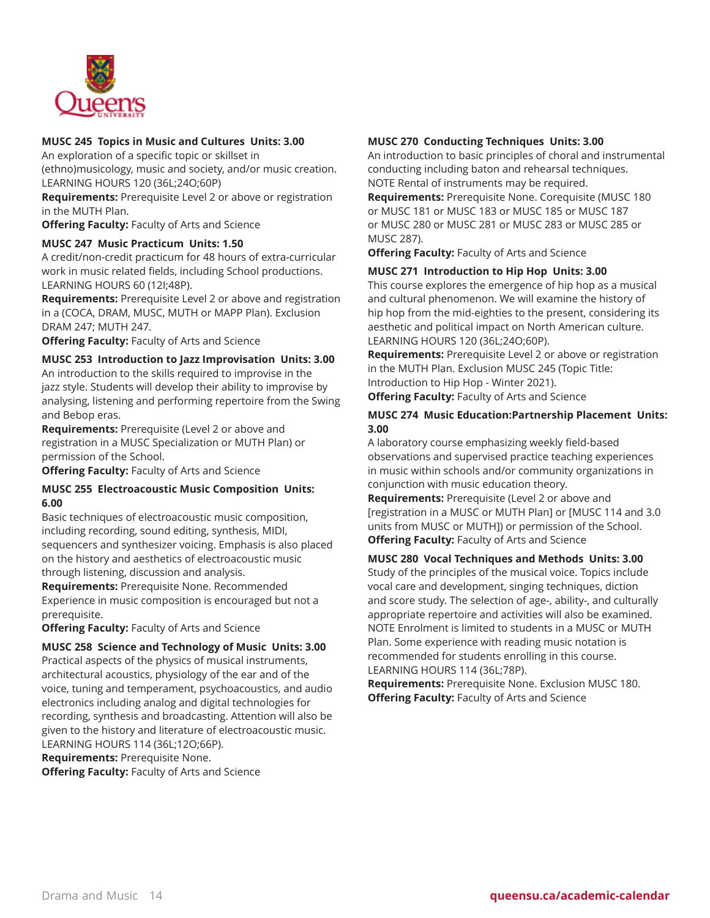

# **MUSC 245 Topics in Music and Cultures Units: 3.00**

An exploration of a specific topic or skillset in (ethno)musicology, music and society, and/or music creation. LEARNING HOURS 120 (36L;24O;60P)

**Requirements:** Prerequisite Level 2 or above or registration in the MUTH Plan.

**Offering Faculty:** Faculty of Arts and Science

# **MUSC 247 Music Practicum Units: 1.50**

A credit/non-credit practicum for 48 hours of extra-curricular work in music related fields, including School productions. LEARNING HOURS 60 (12I;48P).

**Requirements:** Prerequisite Level 2 or above and registration in a (COCA, DRAM, MUSC, MUTH or MAPP Plan). Exclusion DRAM 247; MUTH 247.

**Offering Faculty:** Faculty of Arts and Science

# **MUSC 253 Introduction to Jazz Improvisation Units: 3.00**

An introduction to the skills required to improvise in the jazz style. Students will develop their ability to improvise by analysing, listening and performing repertoire from the Swing and Bebop eras.

**Requirements:** Prerequisite (Level 2 or above and registration in a MUSC Specialization or MUTH Plan) or permission of the School.

**Offering Faculty:** Faculty of Arts and Science

# **MUSC 255 Electroacoustic Music Composition Units: 6.00**

Basic techniques of electroacoustic music composition, including recording, sound editing, synthesis, MIDI, sequencers and synthesizer voicing. Emphasis is also placed on the history and aesthetics of electroacoustic music through listening, discussion and analysis.

**Requirements:** Prerequisite None. Recommended Experience in music composition is encouraged but not a prerequisite.

**Offering Faculty:** Faculty of Arts and Science

# **MUSC 258 Science and Technology of Music Units: 3.00**

Practical aspects of the physics of musical instruments, architectural acoustics, physiology of the ear and of the voice, tuning and temperament, psychoacoustics, and audio electronics including analog and digital technologies for recording, synthesis and broadcasting. Attention will also be given to the history and literature of electroacoustic music. LEARNING HOURS 114 (36L;12O;66P).

**Requirements:** Prerequisite None.

**Offering Faculty:** Faculty of Arts and Science

# **MUSC 270 Conducting Techniques Units: 3.00**

An introduction to basic principles of choral and instrumental conducting including baton and rehearsal techniques. NOTE Rental of instruments may be required.

**Requirements:** Prerequisite None. Corequisite (MUSC 180 or MUSC 181 or MUSC 183 or MUSC 185 or MUSC 187 or MUSC 280 or MUSC 281 or MUSC 283 or MUSC 285 or MUSC 287).

**Offering Faculty:** Faculty of Arts and Science

# **MUSC 271 Introduction to Hip Hop Units: 3.00**

This course explores the emergence of hip hop as a musical and cultural phenomenon. We will examine the history of hip hop from the mid-eighties to the present, considering its aesthetic and political impact on North American culture. LEARNING HOURS 120 (36L;24O;60P).

**Requirements:** Prerequisite Level 2 or above or registration in the MUTH Plan. Exclusion MUSC 245 (Topic Title: Introduction to Hip Hop - Winter 2021).

**Offering Faculty:** Faculty of Arts and Science

# **MUSC 274 Music Education:Partnership Placement Units: 3.00**

A laboratory course emphasizing weekly field-based observations and supervised practice teaching experiences in music within schools and/or community organizations in conjunction with music education theory.

**Requirements:** Prerequisite (Level 2 or above and [registration in a MUSC or MUTH Plan] or [MUSC 114 and 3.0 units from MUSC or MUTH]) or permission of the School. **Offering Faculty:** Faculty of Arts and Science

# **MUSC 280 Vocal Techniques and Methods Units: 3.00** Study of the principles of the musical voice. Topics include

vocal care and development, singing techniques, diction and score study. The selection of age-, ability-, and culturally appropriate repertoire and activities will also be examined. NOTE Enrolment is limited to students in a MUSC or MUTH Plan. Some experience with reading music notation is recommended for students enrolling in this course. LEARNING HOURS 114 (36L;78P).

**Requirements:** Prerequisite None. Exclusion MUSC 180. **Offering Faculty:** Faculty of Arts and Science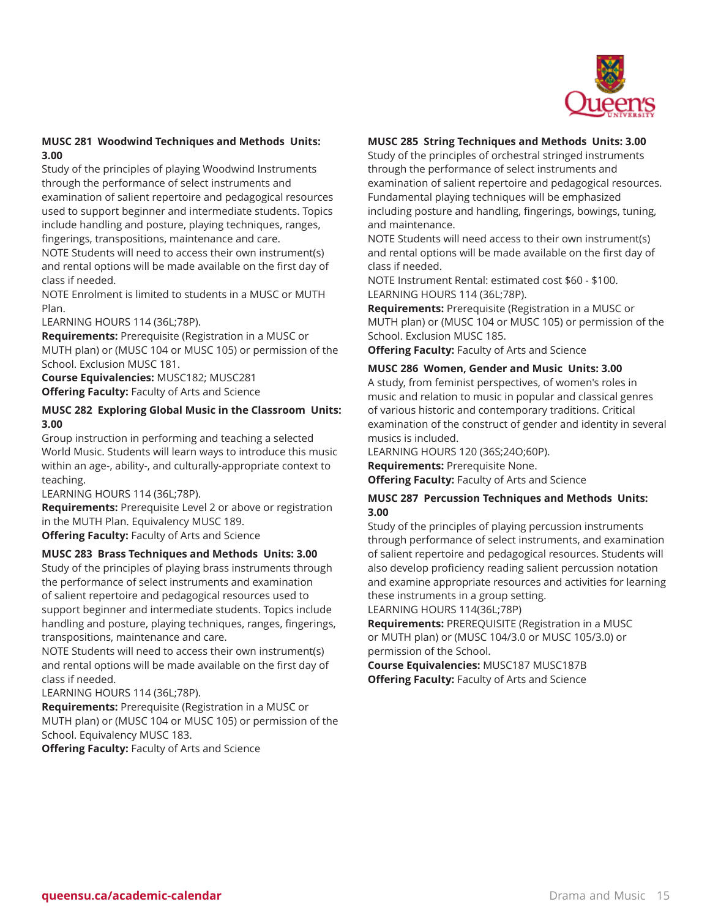

# **MUSC 281 Woodwind Techniques and Methods Units: 3.00**

Study of the principles of playing Woodwind Instruments through the performance of select instruments and examination of salient repertoire and pedagogical resources used to support beginner and intermediate students. Topics include handling and posture, playing techniques, ranges, fingerings, transpositions, maintenance and care.

NOTE Students will need to access their own instrument(s) and rental options will be made available on the first day of class if needed.

NOTE Enrolment is limited to students in a MUSC or MUTH Plan.

LEARNING HOURS 114 (36L;78P).

**Requirements:** Prerequisite (Registration in a MUSC or MUTH plan) or (MUSC 104 or MUSC 105) or permission of the School. Exclusion MUSC 181.

**Course Equivalencies:** MUSC182; MUSC281 **Offering Faculty:** Faculty of Arts and Science

# **MUSC 282 Exploring Global Music in the Classroom Units: 3.00**

Group instruction in performing and teaching a selected World Music. Students will learn ways to introduce this music within an age-, ability-, and culturally-appropriate context to teaching.

LEARNING HOURS 114 (36L;78P).

**Requirements:** Prerequisite Level 2 or above or registration in the MUTH Plan. Equivalency MUSC 189.

**Offering Faculty:** Faculty of Arts and Science

# **MUSC 283 Brass Techniques and Methods Units: 3.00**

Study of the principles of playing brass instruments through the performance of select instruments and examination of salient repertoire and pedagogical resources used to support beginner and intermediate students. Topics include handling and posture, playing techniques, ranges, fingerings, transpositions, maintenance and care.

NOTE Students will need to access their own instrument(s) and rental options will be made available on the first day of class if needed.

LEARNING HOURS 114 (36L;78P).

**Requirements:** Prerequisite (Registration in a MUSC or MUTH plan) or (MUSC 104 or MUSC 105) or permission of the School. Equivalency MUSC 183.

**Offering Faculty:** Faculty of Arts and Science

# **MUSC 285 String Techniques and Methods Units: 3.00**

Study of the principles of orchestral stringed instruments through the performance of select instruments and examination of salient repertoire and pedagogical resources. Fundamental playing techniques will be emphasized including posture and handling, fingerings, bowings, tuning, and maintenance.

NOTE Students will need access to their own instrument(s) and rental options will be made available on the first day of class if needed.

NOTE Instrument Rental: estimated cost \$60 - \$100. LEARNING HOURS 114 (36L;78P).

**Requirements:** Prerequisite (Registration in a MUSC or MUTH plan) or (MUSC 104 or MUSC 105) or permission of the School. Exclusion MUSC 185.

**Offering Faculty:** Faculty of Arts and Science

# **MUSC 286 Women, Gender and Music Units: 3.00**

A study, from feminist perspectives, of women's roles in music and relation to music in popular and classical genres of various historic and contemporary traditions. Critical examination of the construct of gender and identity in several musics is included.

LEARNING HOURS 120 (36S;24O;60P).

**Requirements:** Prerequisite None.

**Offering Faculty:** Faculty of Arts and Science

# **MUSC 287 Percussion Techniques and Methods Units: 3.00**

Study of the principles of playing percussion instruments through performance of select instruments, and examination of salient repertoire and pedagogical resources. Students will also develop proficiency reading salient percussion notation and examine appropriate resources and activities for learning these instruments in a group setting.

LEARNING HOURS 114(36L;78P)

**Requirements:** PREREQUISITE (Registration in a MUSC or MUTH plan) or (MUSC 104/3.0 or MUSC 105/3.0) or permission of the School.

**Course Equivalencies:** MUSC187 MUSC187B **Offering Faculty:** Faculty of Arts and Science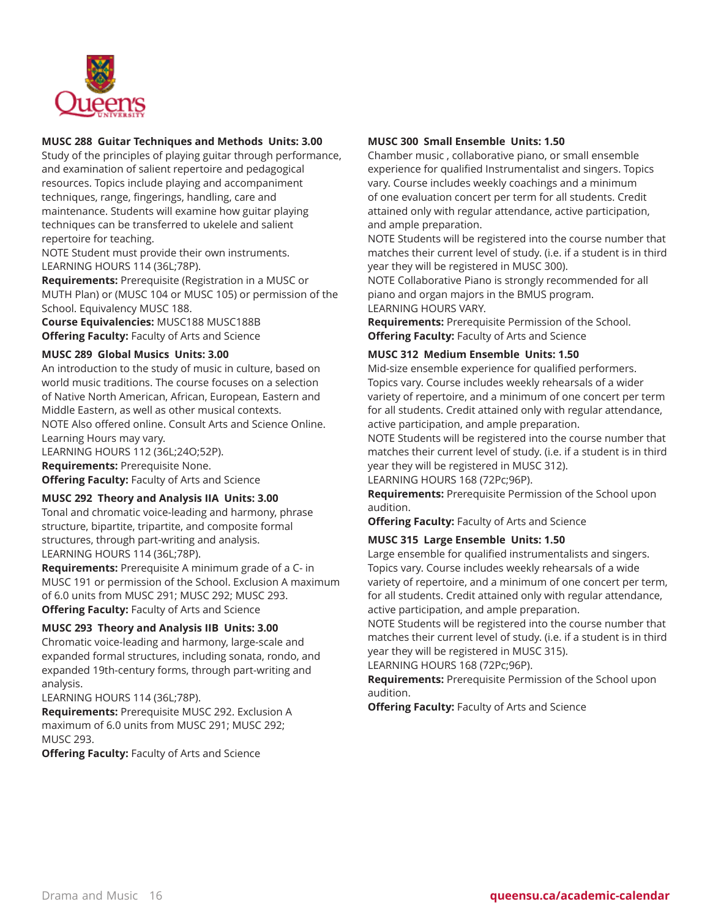

# **MUSC 288 Guitar Techniques and Methods Units: 3.00**

Study of the principles of playing guitar through performance, and examination of salient repertoire and pedagogical resources. Topics include playing and accompaniment techniques, range, fingerings, handling, care and maintenance. Students will examine how guitar playing techniques can be transferred to ukelele and salient repertoire for teaching.

NOTE Student must provide their own instruments. LEARNING HOURS 114 (36L;78P).

**Requirements:** Prerequisite (Registration in a MUSC or MUTH Plan) or (MUSC 104 or MUSC 105) or permission of the School. Equivalency MUSC 188.

**Course Equivalencies:** MUSC188 MUSC188B **Offering Faculty:** Faculty of Arts and Science

# **MUSC 289 Global Musics Units: 3.00**

An introduction to the study of music in culture, based on world music traditions. The course focuses on a selection of Native North American, African, European, Eastern and Middle Eastern, as well as other musical contexts. NOTE Also offered online. Consult Arts and Science Online.

Learning Hours may vary. LEARNING HOURS 112 (36L;24O;52P). **Requirements:** Prerequisite None. **Offering Faculty:** Faculty of Arts and Science

# **MUSC 292 Theory and Analysis IIA Units: 3.00**

Tonal and chromatic voice-leading and harmony, phrase structure, bipartite, tripartite, and composite formal structures, through part-writing and analysis. LEARNING HOURS 114 (36L;78P).

**Requirements:** Prerequisite A minimum grade of a C- in MUSC 191 or permission of the School. Exclusion A maximum of 6.0 units from MUSC 291; MUSC 292; MUSC 293. **Offering Faculty:** Faculty of Arts and Science

#### **MUSC 293 Theory and Analysis IIB Units: 3.00**

Chromatic voice-leading and harmony, large-scale and expanded formal structures, including sonata, rondo, and expanded 19th-century forms, through part-writing and analysis.

LEARNING HOURS 114 (36L;78P).

**Requirements:** Prerequisite MUSC 292. Exclusion A maximum of 6.0 units from MUSC 291; MUSC 292; MUSC 293.

**Offering Faculty:** Faculty of Arts and Science

# **MUSC 300 Small Ensemble Units: 1.50**

Chamber music , collaborative piano, or small ensemble experience for qualified Instrumentalist and singers. Topics vary. Course includes weekly coachings and a minimum of one evaluation concert per term for all students. Credit attained only with regular attendance, active participation, and ample preparation.

NOTE Students will be registered into the course number that matches their current level of study. (i.e. if a student is in third year they will be registered in MUSC 300).

NOTE Collaborative Piano is strongly recommended for all piano and organ majors in the BMUS program. LEARNING HOURS VARY.

**Requirements:** Prerequisite Permission of the School. **Offering Faculty:** Faculty of Arts and Science

# **MUSC 312 Medium Ensemble Units: 1.50**

Mid-size ensemble experience for qualified performers. Topics vary. Course includes weekly rehearsals of a wider variety of repertoire, and a minimum of one concert per term for all students. Credit attained only with regular attendance, active participation, and ample preparation.

NOTE Students will be registered into the course number that matches their current level of study. (i.e. if a student is in third year they will be registered in MUSC 312).

LEARNING HOURS 168 (72Pc;96P).

**Requirements:** Prerequisite Permission of the School upon audition.

**Offering Faculty:** Faculty of Arts and Science

# **MUSC 315 Large Ensemble Units: 1.50**

Large ensemble for qualified instrumentalists and singers. Topics vary. Course includes weekly rehearsals of a wide variety of repertoire, and a minimum of one concert per term, for all students. Credit attained only with regular attendance, active participation, and ample preparation.

NOTE Students will be registered into the course number that matches their current level of study. (i.e. if a student is in third year they will be registered in MUSC 315).

LEARNING HOURS 168 (72Pc;96P).

**Requirements:** Prerequisite Permission of the School upon audition.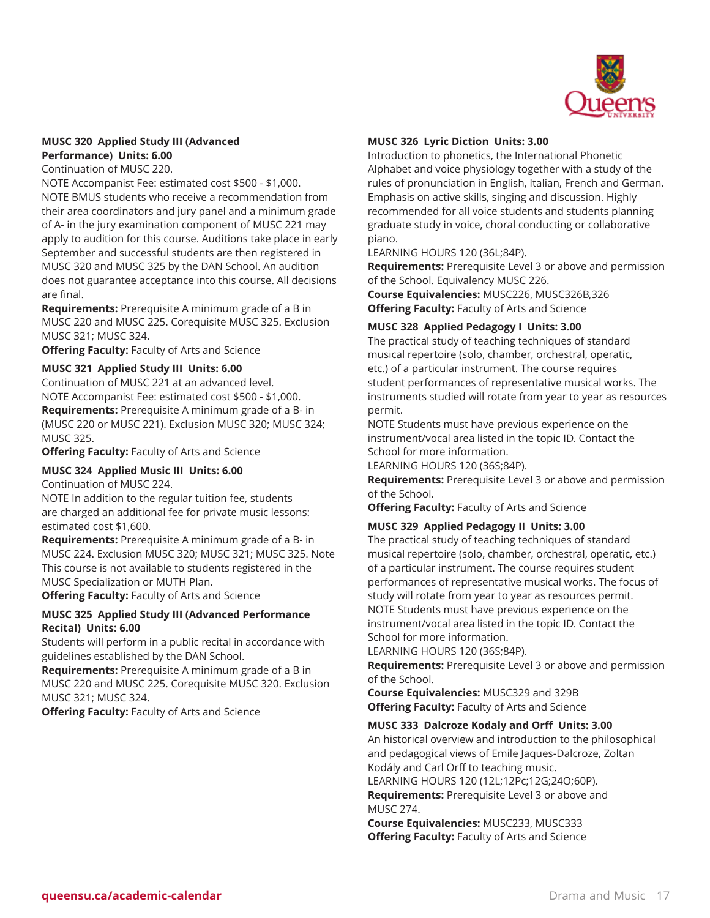

# **MUSC 320 Applied Study III (Advanced Performance) Units: 6.00**

Continuation of MUSC 220.

NOTE Accompanist Fee: estimated cost \$500 - \$1,000. NOTE BMUS students who receive a recommendation from their area coordinators and jury panel and a minimum grade of A- in the jury examination component of MUSC 221 may apply to audition for this course. Auditions take place in early September and successful students are then registered in MUSC 320 and MUSC 325 by the DAN School. An audition does not guarantee acceptance into this course. All decisions are final.

**Requirements:** Prerequisite A minimum grade of a B in MUSC 220 and MUSC 225. Corequisite MUSC 325. Exclusion MUSC 321; MUSC 324.

**Offering Faculty:** Faculty of Arts and Science

# **MUSC 321 Applied Study III Units: 6.00**

Continuation of MUSC 221 at an advanced level. NOTE Accompanist Fee: estimated cost \$500 - \$1,000. **Requirements:** Prerequisite A minimum grade of a B- in (MUSC 220 or MUSC 221). Exclusion MUSC 320; MUSC 324; MUSC 325.

**Offering Faculty:** Faculty of Arts and Science

# **MUSC 324 Applied Music III Units: 6.00**

Continuation of MUSC 224.

NOTE In addition to the regular tuition fee, students are charged an additional fee for private music lessons: estimated cost \$1,600.

**Requirements:** Prerequisite A minimum grade of a B- in MUSC 224. Exclusion MUSC 320; MUSC 321; MUSC 325. Note This course is not available to students registered in the MUSC Specialization or MUTH Plan.

**Offering Faculty:** Faculty of Arts and Science

# **MUSC 325 Applied Study III (Advanced Performance Recital) Units: 6.00**

Students will perform in a public recital in accordance with guidelines established by the DAN School.

**Requirements:** Prerequisite A minimum grade of a B in MUSC 220 and MUSC 225. Corequisite MUSC 320. Exclusion MUSC 321; MUSC 324.

**Offering Faculty:** Faculty of Arts and Science

# **MUSC 326 Lyric Diction Units: 3.00**

Introduction to phonetics, the International Phonetic Alphabet and voice physiology together with a study of the rules of pronunciation in English, Italian, French and German. Emphasis on active skills, singing and discussion. Highly recommended for all voice students and students planning graduate study in voice, choral conducting or collaborative piano.

LEARNING HOURS 120 (36L;84P).

**Requirements:** Prerequisite Level 3 or above and permission of the School. Equivalency MUSC 226.

**Course Equivalencies:** MUSC226, MUSC326B,326 **Offering Faculty:** Faculty of Arts and Science

#### **MUSC 328 Applied Pedagogy I Units: 3.00**

The practical study of teaching techniques of standard musical repertoire (solo, chamber, orchestral, operatic, etc.) of a particular instrument. The course requires student performances of representative musical works. The instruments studied will rotate from year to year as resources permit.

NOTE Students must have previous experience on the instrument/vocal area listed in the topic ID. Contact the School for more information.

LEARNING HOURS 120 (36S;84P).

**Requirements:** Prerequisite Level 3 or above and permission of the School.

**Offering Faculty:** Faculty of Arts and Science

# **MUSC 329 Applied Pedagogy II Units: 3.00**

The practical study of teaching techniques of standard musical repertoire (solo, chamber, orchestral, operatic, etc.) of a particular instrument. The course requires student performances of representative musical works. The focus of study will rotate from year to year as resources permit. NOTE Students must have previous experience on the instrument/vocal area listed in the topic ID. Contact the School for more information.

LEARNING HOURS 120 (36S;84P).

**Requirements:** Prerequisite Level 3 or above and permission of the School.

**Course Equivalencies:** MUSC329 and 329B **Offering Faculty:** Faculty of Arts and Science

#### **MUSC 333 Dalcroze Kodaly and Orff Units: 3.00**

An historical overview and introduction to the philosophical and pedagogical views of Emile Jaques-Dalcroze, Zoltan Kodály and Carl Orff to teaching music. LEARNING HOURS 120 (12L;12Pc;12G;24O;60P).

**Requirements:** Prerequisite Level 3 or above and MUSC 274.

**Course Equivalencies:** MUSC233, MUSC333 **Offering Faculty:** Faculty of Arts and Science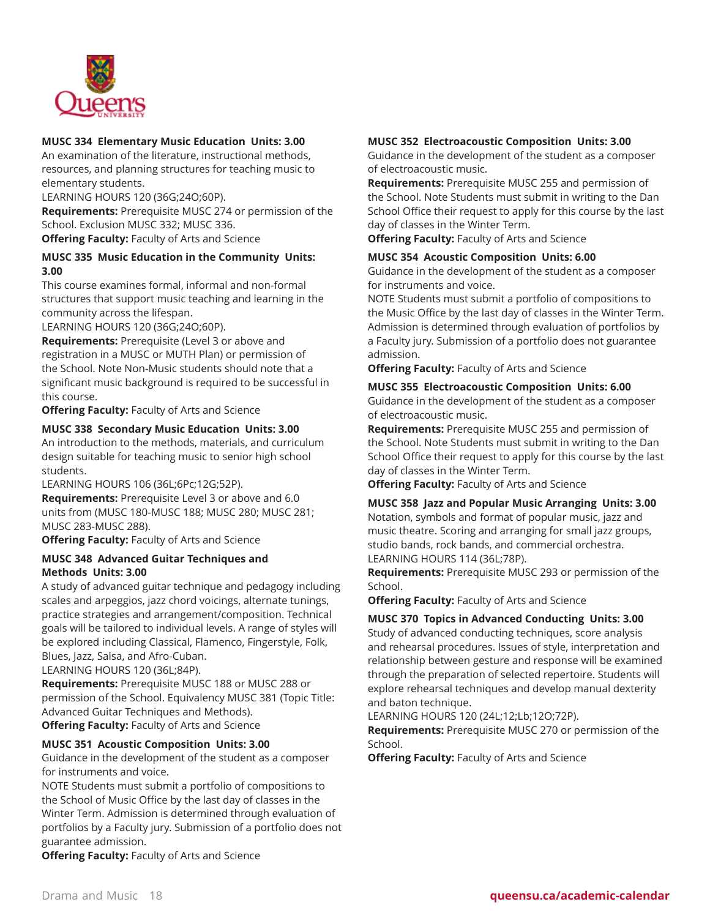

# **MUSC 334 Elementary Music Education Units: 3.00**

An examination of the literature, instructional methods, resources, and planning structures for teaching music to elementary students.

LEARNING HOURS 120 (36G;24O;60P).

**Requirements:** Prerequisite MUSC 274 or permission of the School. Exclusion MUSC 332; MUSC 336.

**Offering Faculty:** Faculty of Arts and Science

# **MUSC 335 Music Education in the Community Units: 3.00**

This course examines formal, informal and non-formal structures that support music teaching and learning in the community across the lifespan.

LEARNING HOURS 120 (36G;24O;60P).

**Requirements:** Prerequisite (Level 3 or above and registration in a MUSC or MUTH Plan) or permission of the School. Note Non-Music students should note that a significant music background is required to be successful in this course.

**Offering Faculty:** Faculty of Arts and Science

# **MUSC 338 Secondary Music Education Units: 3.00**

An introduction to the methods, materials, and curriculum design suitable for teaching music to senior high school students.

LEARNING HOURS 106 (36L;6Pc;12G;52P).

**Requirements:** Prerequisite Level 3 or above and 6.0 units from (MUSC 180-MUSC 188; MUSC 280; MUSC 281; MUSC 283-MUSC 288).

**Offering Faculty:** Faculty of Arts and Science

# **MUSC 348 Advanced Guitar Techniques and Methods Units: 3.00**

A study of advanced guitar technique and pedagogy including scales and arpeggios, jazz chord voicings, alternate tunings, practice strategies and arrangement/composition. Technical goals will be tailored to individual levels. A range of styles will be explored including Classical, Flamenco, Fingerstyle, Folk, Blues, Jazz, Salsa, and Afro-Cuban.

LEARNING HOURS 120 (36L;84P).

**Requirements:** Prerequisite MUSC 188 or MUSC 288 or permission of the School. Equivalency MUSC 381 (Topic Title: Advanced Guitar Techniques and Methods). **Offering Faculty:** Faculty of Arts and Science

# **MUSC 351 Acoustic Composition Units: 3.00**

Guidance in the development of the student as a composer for instruments and voice.

NOTE Students must submit a portfolio of compositions to the School of Music Office by the last day of classes in the Winter Term. Admission is determined through evaluation of portfolios by a Faculty jury. Submission of a portfolio does not guarantee admission.

**Offering Faculty:** Faculty of Arts and Science

# **MUSC 352 Electroacoustic Composition Units: 3.00**

Guidance in the development of the student as a composer of electroacoustic music.

**Requirements:** Prerequisite MUSC 255 and permission of the School. Note Students must submit in writing to the Dan School Office their request to apply for this course by the last day of classes in the Winter Term.

**Offering Faculty:** Faculty of Arts and Science

#### **MUSC 354 Acoustic Composition Units: 6.00**

Guidance in the development of the student as a composer for instruments and voice.

NOTE Students must submit a portfolio of compositions to the Music Office by the last day of classes in the Winter Term. Admission is determined through evaluation of portfolios by a Faculty jury. Submission of a portfolio does not guarantee admission.

**Offering Faculty:** Faculty of Arts and Science

#### **MUSC 355 Electroacoustic Composition Units: 6.00**

Guidance in the development of the student as a composer of electroacoustic music.

**Requirements:** Prerequisite MUSC 255 and permission of the School. Note Students must submit in writing to the Dan School Office their request to apply for this course by the last day of classes in the Winter Term.

**Offering Faculty:** Faculty of Arts and Science

**MUSC 358 Jazz and Popular Music Arranging Units: 3.00** Notation, symbols and format of popular music, jazz and music theatre. Scoring and arranging for small jazz groups, studio bands, rock bands, and commercial orchestra. LEARNING HOURS 114 (36L;78P).

**Requirements:** Prerequisite MUSC 293 or permission of the School.

**Offering Faculty:** Faculty of Arts and Science

#### **MUSC 370 Topics in Advanced Conducting Units: 3.00**

Study of advanced conducting techniques, score analysis and rehearsal procedures. Issues of style, interpretation and relationship between gesture and response will be examined through the preparation of selected repertoire. Students will explore rehearsal techniques and develop manual dexterity and baton technique.

LEARNING HOURS 120 (24L;12;Lb;12O;72P).

**Requirements:** Prerequisite MUSC 270 or permission of the School.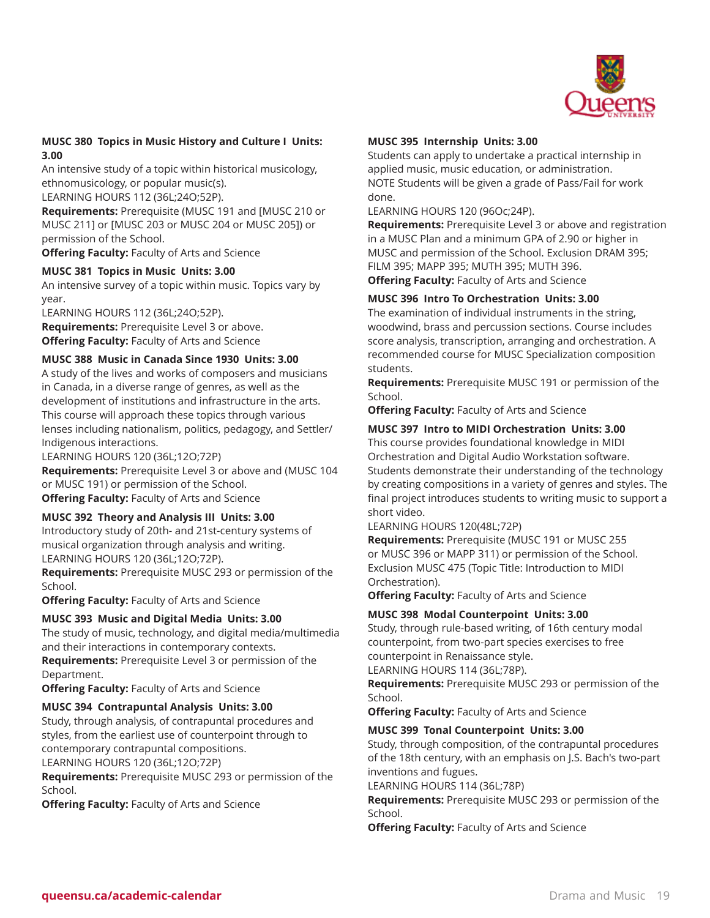

# **MUSC 380 Topics in Music History and Culture I Units: 3.00**

An intensive study of a topic within historical musicology, ethnomusicology, or popular music(s).

LEARNING HOURS 112 (36L;24O;52P).

**Requirements:** Prerequisite (MUSC 191 and [MUSC 210 or MUSC 211] or [MUSC 203 or MUSC 204 or MUSC 205]) or permission of the School.

**Offering Faculty:** Faculty of Arts and Science

# **MUSC 381 Topics in Music Units: 3.00**

An intensive survey of a topic within music. Topics vary by year.

LEARNING HOURS 112 (36L;24O;52P). **Requirements:** Prerequisite Level 3 or above. **Offering Faculty:** Faculty of Arts and Science

# **MUSC 388 Music in Canada Since 1930 Units: 3.00**

A study of the lives and works of composers and musicians in Canada, in a diverse range of genres, as well as the development of institutions and infrastructure in the arts. This course will approach these topics through various lenses including nationalism, politics, pedagogy, and Settler/ Indigenous interactions.

LEARNING HOURS 120 (36L;12O;72P)

**Requirements:** Prerequisite Level 3 or above and (MUSC 104 or MUSC 191) or permission of the School. **Offering Faculty:** Faculty of Arts and Science

# **MUSC 392 Theory and Analysis III Units: 3.00**

Introductory study of 20th- and 21st-century systems of musical organization through analysis and writing. LEARNING HOURS 120 (36L;12O;72P).

**Requirements:** Prerequisite MUSC 293 or permission of the School.

**Offering Faculty:** Faculty of Arts and Science

# **MUSC 393 Music and Digital Media Units: 3.00**

The study of music, technology, and digital media/multimedia and their interactions in contemporary contexts. **Requirements:** Prerequisite Level 3 or permission of the

Department. **Offering Faculty:** Faculty of Arts and Science

# **MUSC 394 Contrapuntal Analysis Units: 3.00**

Study, through analysis, of contrapuntal procedures and styles, from the earliest use of counterpoint through to contemporary contrapuntal compositions.

LEARNING HOURS 120 (36L;12O;72P)

**Requirements:** Prerequisite MUSC 293 or permission of the School.

**Offering Faculty:** Faculty of Arts and Science

# **MUSC 395 Internship Units: 3.00**

Students can apply to undertake a practical internship in applied music, music education, or administration. NOTE Students will be given a grade of Pass/Fail for work done.

LEARNING HOURS 120 (96Oc;24P).

**Requirements:** Prerequisite Level 3 or above and registration in a MUSC Plan and a minimum GPA of 2.90 or higher in MUSC and permission of the School. Exclusion DRAM 395; FILM 395; MAPP 395; MUTH 395; MUTH 396.

**Offering Faculty:** Faculty of Arts and Science

# **MUSC 396 Intro To Orchestration Units: 3.00**

The examination of individual instruments in the string, woodwind, brass and percussion sections. Course includes score analysis, transcription, arranging and orchestration. A recommended course for MUSC Specialization composition students.

**Requirements:** Prerequisite MUSC 191 or permission of the School.

**Offering Faculty:** Faculty of Arts and Science

# **MUSC 397 Intro to MIDI Orchestration Units: 3.00**

This course provides foundational knowledge in MIDI Orchestration and Digital Audio Workstation software. Students demonstrate their understanding of the technology by creating compositions in a variety of genres and styles. The final project introduces students to writing music to support a short video.

LEARNING HOURS 120(48L;72P)

**Requirements:** Prerequisite (MUSC 191 or MUSC 255 or MUSC 396 or MAPP 311) or permission of the School. Exclusion MUSC 475 (Topic Title: Introduction to MIDI Orchestration).

**Offering Faculty:** Faculty of Arts and Science

# **MUSC 398 Modal Counterpoint Units: 3.00**

Study, through rule-based writing, of 16th century modal counterpoint, from two-part species exercises to free counterpoint in Renaissance style.

LEARNING HOURS 114 (36L;78P).

**Requirements:** Prerequisite MUSC 293 or permission of the School.

**Offering Faculty:** Faculty of Arts and Science

# **MUSC 399 Tonal Counterpoint Units: 3.00**

Study, through composition, of the contrapuntal procedures of the 18th century, with an emphasis on J.S. Bach's two-part inventions and fugues.

LEARNING HOURS 114 (36L;78P)

**Requirements:** Prerequisite MUSC 293 or permission of the School.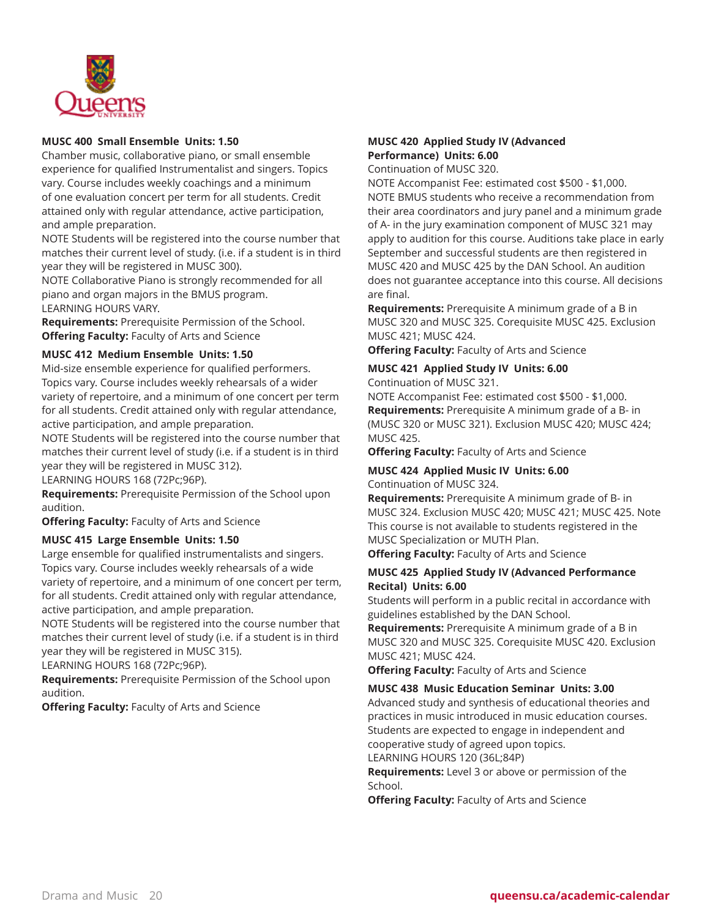

# **MUSC 400 Small Ensemble Units: 1.50**

Chamber music, collaborative piano, or small ensemble experience for qualified Instrumentalist and singers. Topics vary. Course includes weekly coachings and a minimum of one evaluation concert per term for all students. Credit attained only with regular attendance, active participation, and ample preparation.

NOTE Students will be registered into the course number that matches their current level of study. (i.e. if a student is in third year they will be registered in MUSC 300).

NOTE Collaborative Piano is strongly recommended for all piano and organ majors in the BMUS program. LEARNING HOURS VARY.

**Requirements:** Prerequisite Permission of the School. **Offering Faculty:** Faculty of Arts and Science

# **MUSC 412 Medium Ensemble Units: 1.50**

Mid-size ensemble experience for qualified performers. Topics vary. Course includes weekly rehearsals of a wider variety of repertoire, and a minimum of one concert per term for all students. Credit attained only with regular attendance, active participation, and ample preparation.

NOTE Students will be registered into the course number that matches their current level of study (i.e. if a student is in third year they will be registered in MUSC 312).

LEARNING HOURS 168 (72Pc;96P).

**Requirements:** Prerequisite Permission of the School upon audition.

**Offering Faculty:** Faculty of Arts and Science

# **MUSC 415 Large Ensemble Units: 1.50**

Large ensemble for qualified instrumentalists and singers. Topics vary. Course includes weekly rehearsals of a wide variety of repertoire, and a minimum of one concert per term, for all students. Credit attained only with regular attendance, active participation, and ample preparation.

NOTE Students will be registered into the course number that matches their current level of study (i.e. if a student is in third year they will be registered in MUSC 315).

LEARNING HOURS 168 (72Pc;96P).

**Requirements:** Prerequisite Permission of the School upon audition.

**Offering Faculty:** Faculty of Arts and Science

# **MUSC 420 Applied Study IV (Advanced Performance) Units: 6.00**

Continuation of MUSC 320.

NOTE Accompanist Fee: estimated cost \$500 - \$1,000. NOTE BMUS students who receive a recommendation from their area coordinators and jury panel and a minimum grade of A- in the jury examination component of MUSC 321 may apply to audition for this course. Auditions take place in early September and successful students are then registered in MUSC 420 and MUSC 425 by the DAN School. An audition does not guarantee acceptance into this course. All decisions are final.

**Requirements:** Prerequisite A minimum grade of a B in MUSC 320 and MUSC 325. Corequisite MUSC 425. Exclusion MUSC 421; MUSC 424.

**Offering Faculty:** Faculty of Arts and Science

# **MUSC 421 Applied Study IV Units: 6.00**

Continuation of MUSC 321.

NOTE Accompanist Fee: estimated cost \$500 - \$1,000. **Requirements:** Prerequisite A minimum grade of a B- in (MUSC 320 or MUSC 321). Exclusion MUSC 420; MUSC 424; MUSC 425.

**Offering Faculty:** Faculty of Arts and Science

# **MUSC 424 Applied Music IV Units: 6.00**

Continuation of MUSC 324.

**Requirements:** Prerequisite A minimum grade of B- in MUSC 324. Exclusion MUSC 420; MUSC 421; MUSC 425. Note This course is not available to students registered in the MUSC Specialization or MUTH Plan.

**Offering Faculty:** Faculty of Arts and Science

# **MUSC 425 Applied Study IV (Advanced Performance Recital) Units: 6.00**

Students will perform in a public recital in accordance with guidelines established by the DAN School.

**Requirements:** Prerequisite A minimum grade of a B in MUSC 320 and MUSC 325. Corequisite MUSC 420. Exclusion MUSC 421; MUSC 424.

**Offering Faculty:** Faculty of Arts and Science

# **MUSC 438 Music Education Seminar Units: 3.00**

Advanced study and synthesis of educational theories and practices in music introduced in music education courses. Students are expected to engage in independent and cooperative study of agreed upon topics.

LEARNING HOURS 120 (36L;84P)

**Requirements:** Level 3 or above or permission of the School.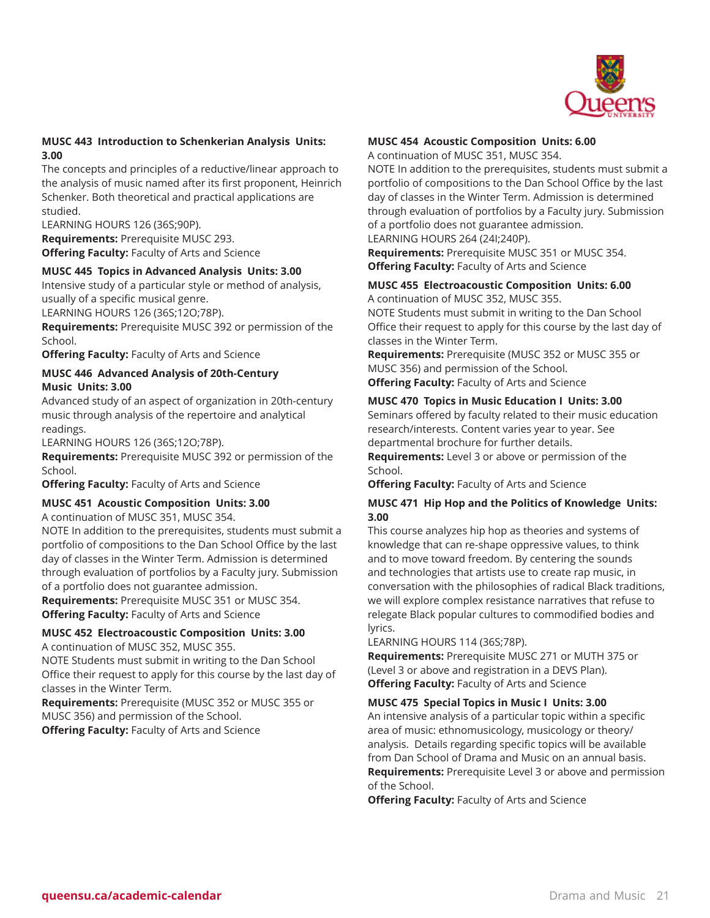

# **MUSC 443 Introduction to Schenkerian Analysis Units: 3.00**

The concepts and principles of a reductive/linear approach to the analysis of music named after its first proponent, Heinrich Schenker. Both theoretical and practical applications are studied.

LEARNING HOURS 126 (36S;90P).

**Requirements:** Prerequisite MUSC 293. **Offering Faculty:** Faculty of Arts and Science

# **MUSC 445 Topics in Advanced Analysis Units: 3.00**

Intensive study of a particular style or method of analysis, usually of a specific musical genre.

LEARNING HOURS 126 (36S;12O;78P).

**Requirements:** Prerequisite MUSC 392 or permission of the School.

**Offering Faculty:** Faculty of Arts and Science

# **MUSC 446 Advanced Analysis of 20th-Century Music Units: 3.00**

Advanced study of an aspect of organization in 20th-century music through analysis of the repertoire and analytical readings.

LEARNING HOURS 126 (36S;12O;78P).

**Requirements:** Prerequisite MUSC 392 or permission of the School.

**Offering Faculty:** Faculty of Arts and Science

# **MUSC 451 Acoustic Composition Units: 3.00**

A continuation of MUSC 351, MUSC 354.

NOTE In addition to the prerequisites, students must submit a portfolio of compositions to the Dan School Office by the last day of classes in the Winter Term. Admission is determined through evaluation of portfolios by a Faculty jury. Submission of a portfolio does not guarantee admission.

**Requirements:** Prerequisite MUSC 351 or MUSC 354. **Offering Faculty:** Faculty of Arts and Science

# **MUSC 452 Electroacoustic Composition Units: 3.00**

A continuation of MUSC 352, MUSC 355.

NOTE Students must submit in writing to the Dan School Office their request to apply for this course by the last day of classes in the Winter Term.

**Requirements:** Prerequisite (MUSC 352 or MUSC 355 or MUSC 356) and permission of the School. **Offering Faculty:** Faculty of Arts and Science

# **MUSC 454 Acoustic Composition Units: 6.00**

A continuation of MUSC 351, MUSC 354.

NOTE In addition to the prerequisites, students must submit a portfolio of compositions to the Dan School Office by the last day of classes in the Winter Term. Admission is determined through evaluation of portfolios by a Faculty jury. Submission of a portfolio does not guarantee admission.

LEARNING HOURS 264 (24I;240P).

**Requirements:** Prerequisite MUSC 351 or MUSC 354. **Offering Faculty:** Faculty of Arts and Science

# **MUSC 455 Electroacoustic Composition Units: 6.00**

A continuation of MUSC 352, MUSC 355. NOTE Students must submit in writing to the Dan School Office their request to apply for this course by the last day of classes in the Winter Term.

**Requirements:** Prerequisite (MUSC 352 or MUSC 355 or MUSC 356) and permission of the School. **Offering Faculty:** Faculty of Arts and Science

**MUSC 470 Topics in Music Education I Units: 3.00** Seminars offered by faculty related to their music education research/interests. Content varies year to year. See departmental brochure for further details.

**Requirements:** Level 3 or above or permission of the School.

**Offering Faculty:** Faculty of Arts and Science

# **MUSC 471 Hip Hop and the Politics of Knowledge Units: 3.00**

This course analyzes hip hop as theories and systems of knowledge that can re-shape oppressive values, to think and to move toward freedom. By centering the sounds and technologies that artists use to create rap music, in conversation with the philosophies of radical Black traditions, we will explore complex resistance narratives that refuse to relegate Black popular cultures to commodified bodies and lyrics.

LEARNING HOURS 114 (36S;78P).

**Requirements:** Prerequisite MUSC 271 or MUTH 375 or (Level 3 or above and registration in a DEVS Plan). **Offering Faculty:** Faculty of Arts and Science

**MUSC 475 Special Topics in Music I Units: 3.00**

An intensive analysis of a particular topic within a specific area of music: ethnomusicology, musicology or theory/ analysis. Details regarding specific topics will be available from Dan School of Drama and Music on an annual basis. **Requirements:** Prerequisite Level 3 or above and permission of the School.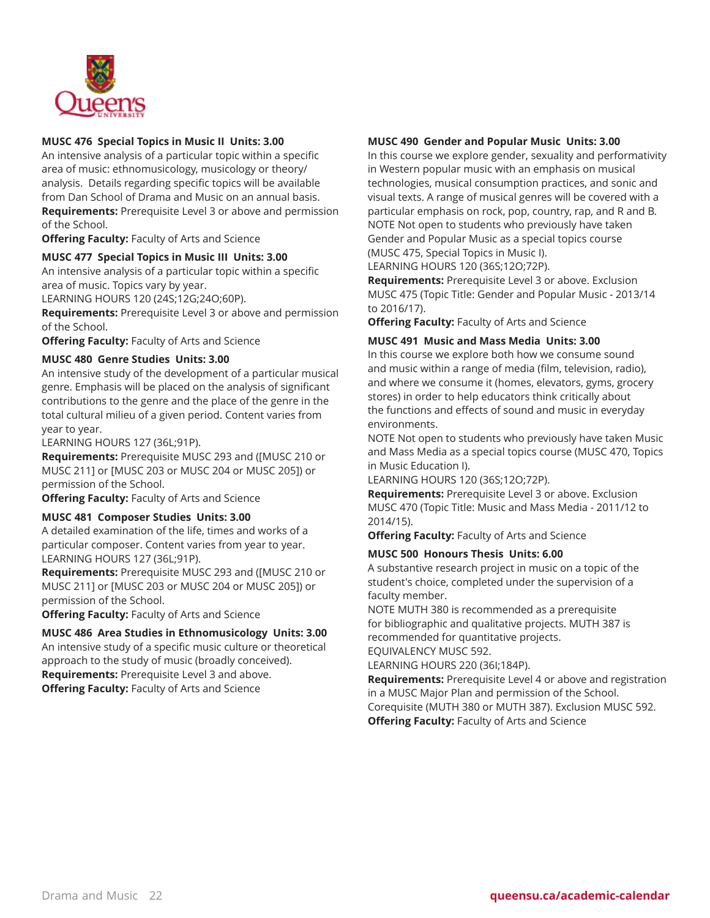

# **MUSC 476 Special Topics in Music II Units: 3.00**

An intensive analysis of a particular topic within a specific area of music: ethnomusicology, musicology or theory/ analysis. Details regarding specific topics will be available from Dan School of Drama and Music on an annual basis. **Requirements:** Prerequisite Level 3 or above and permission of the School.

**Offering Faculty:** Faculty of Arts and Science

# **MUSC 477 Special Topics in Music III Units: 3.00**

An intensive analysis of a particular topic within a specific area of music. Topics vary by year.

LEARNING HOURS 120 (24S;12G;24O;60P).

**Requirements:** Prerequisite Level 3 or above and permission of the School.

**Offering Faculty:** Faculty of Arts and Science

# **MUSC 480 Genre Studies Units: 3.00**

An intensive study of the development of a particular musical genre. Emphasis will be placed on the analysis of significant contributions to the genre and the place of the genre in the total cultural milieu of a given period. Content varies from year to year.

LEARNING HOURS 127 (36L;91P).

**Requirements:** Prerequisite MUSC 293 and ([MUSC 210 or MUSC 211] or [MUSC 203 or MUSC 204 or MUSC 205]) or permission of the School.

**Offering Faculty:** Faculty of Arts and Science

# **MUSC 481 Composer Studies Units: 3.00**

A detailed examination of the life, times and works of a particular composer. Content varies from year to year. LEARNING HOURS 127 (36L;91P).

**Requirements:** Prerequisite MUSC 293 and ([MUSC 210 or MUSC 211] or [MUSC 203 or MUSC 204 or MUSC 205]) or permission of the School.

**Offering Faculty:** Faculty of Arts and Science

# **MUSC 486 Area Studies in Ethnomusicology Units: 3.00**

An intensive study of a specific music culture or theoretical approach to the study of music (broadly conceived). **Requirements:** Prerequisite Level 3 and above. **Offering Faculty:** Faculty of Arts and Science

# **MUSC 490 Gender and Popular Music Units: 3.00**

In this course we explore gender, sexuality and performativity in Western popular music with an emphasis on musical technologies, musical consumption practices, and sonic and visual texts. A range of musical genres will be covered with a particular emphasis on rock, pop, country, rap, and R and B. NOTE Not open to students who previously have taken Gender and Popular Music as a special topics course (MUSC 475, Special Topics in Music I).

LEARNING HOURS 120 (36S;12O;72P).

**Requirements:** Prerequisite Level 3 or above. Exclusion MUSC 475 (Topic Title: Gender and Popular Music - 2013/14 to 2016/17).

**Offering Faculty:** Faculty of Arts and Science

# **MUSC 491 Music and Mass Media Units: 3.00**

In this course we explore both how we consume sound and music within a range of media (film, television, radio), and where we consume it (homes, elevators, gyms, grocery stores) in order to help educators think critically about the functions and effects of sound and music in everyday environments.

NOTE Not open to students who previously have taken Music and Mass Media as a special topics course (MUSC 470, Topics in Music Education I).

LEARNING HOURS 120 (36S;12O;72P).

**Requirements:** Prerequisite Level 3 or above. Exclusion MUSC 470 (Topic Title: Music and Mass Media - 2011/12 to 2014/15).

**Offering Faculty:** Faculty of Arts and Science

# **MUSC 500 Honours Thesis Units: 6.00**

A substantive research project in music on a topic of the student's choice, completed under the supervision of a faculty member.

NOTE MUTH 380 is recommended as a prerequisite for bibliographic and qualitative projects. MUTH 387 is recommended for quantitative projects.

EQUIVALENCY MUSC 592.

LEARNING HOURS 220 (36I;184P).

**Requirements:** Prerequisite Level 4 or above and registration in a MUSC Major Plan and permission of the School. Corequisite (MUTH 380 or MUTH 387). Exclusion MUSC 592. **Offering Faculty:** Faculty of Arts and Science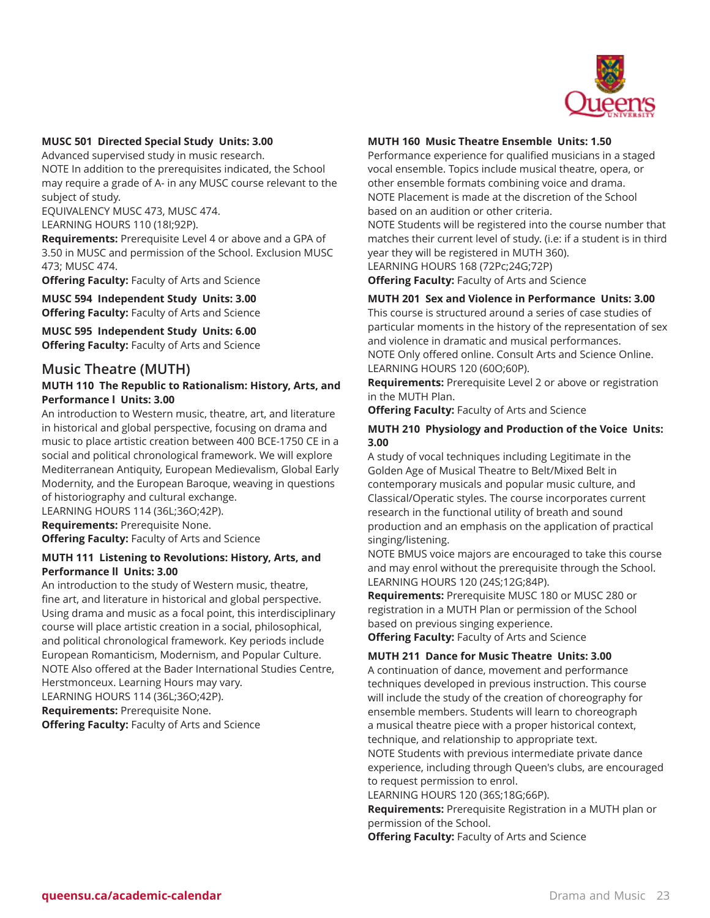

# **MUSC 501 Directed Special Study Units: 3.00**

Advanced supervised study in music research. NOTE In addition to the prerequisites indicated, the School may require a grade of A- in any MUSC course relevant to the subject of study.

EQUIVALENCY MUSC 473, MUSC 474. LEARNING HOURS 110 (18I;92P).

**Requirements:** Prerequisite Level 4 or above and a GPA of 3.50 in MUSC and permission of the School. Exclusion MUSC 473; MUSC 474.

**Offering Faculty:** Faculty of Arts and Science

**MUSC 594 Independent Study Units: 3.00 Offering Faculty:** Faculty of Arts and Science

**MUSC 595 Independent Study Units: 6.00 Offering Faculty:** Faculty of Arts and Science

# **Music Theatre (MUTH)**

# **MUTH 110 The Republic to Rationalism: History, Arts, and Performance l Units: 3.00**

An introduction to Western music, theatre, art, and literature in historical and global perspective, focusing on drama and music to place artistic creation between 400 BCE-1750 CE in a social and political chronological framework. We will explore Mediterranean Antiquity, European Medievalism, Global Early Modernity, and the European Baroque, weaving in questions of historiography and cultural exchange. LEARNING HOURS 114 (36L;36O;42P).

**Requirements:** Prerequisite None. **Offering Faculty:** Faculty of Arts and Science

# **MUTH 111 Listening to Revolutions: History, Arts, and Performance ll Units: 3.00**

An introduction to the study of Western music, theatre, fine art, and literature in historical and global perspective. Using drama and music as a focal point, this interdisciplinary course will place artistic creation in a social, philosophical, and political chronological framework. Key periods include European Romanticism, Modernism, and Popular Culture. NOTE Also offered at the Bader International Studies Centre, Herstmonceux. Learning Hours may vary.

LEARNING HOURS 114 (36L;36O;42P).

**Requirements:** Prerequisite None. **Offering Faculty:** Faculty of Arts and Science

# **MUTH 160 Music Theatre Ensemble Units: 1.50**

Performance experience for qualified musicians in a staged vocal ensemble. Topics include musical theatre, opera, or other ensemble formats combining voice and drama. NOTE Placement is made at the discretion of the School based on an audition or other criteria.

NOTE Students will be registered into the course number that matches their current level of study. (i.e: if a student is in third year they will be registered in MUTH 360).

LEARNING HOURS 168 (72Pc;24G;72P) **Offering Faculty:** Faculty of Arts and Science

# **MUTH 201 Sex and Violence in Performance Units: 3.00**

This course is structured around a series of case studies of particular moments in the history of the representation of sex and violence in dramatic and musical performances. NOTE Only offered online. Consult Arts and Science Online. LEARNING HOURS 120 (60O;60P).

**Requirements:** Prerequisite Level 2 or above or registration in the MUTH Plan.

**Offering Faculty:** Faculty of Arts and Science

# **MUTH 210 Physiology and Production of the Voice Units: 3.00**

A study of vocal techniques including Legitimate in the Golden Age of Musical Theatre to Belt/Mixed Belt in contemporary musicals and popular music culture, and Classical/Operatic styles. The course incorporates current research in the functional utility of breath and sound production and an emphasis on the application of practical singing/listening.

NOTE BMUS voice majors are encouraged to take this course and may enrol without the prerequisite through the School. LEARNING HOURS 120 (24S;12G;84P).

**Requirements:** Prerequisite MUSC 180 or MUSC 280 or registration in a MUTH Plan or permission of the School based on previous singing experience.

**Offering Faculty:** Faculty of Arts and Science

# **MUTH 211 Dance for Music Theatre Units: 3.00**

A continuation of dance, movement and performance techniques developed in previous instruction. This course will include the study of the creation of choreography for ensemble members. Students will learn to choreograph a musical theatre piece with a proper historical context, technique, and relationship to appropriate text.

NOTE Students with previous intermediate private dance experience, including through Queen's clubs, are encouraged to request permission to enrol.

LEARNING HOURS 120 (36S;18G;66P).

**Requirements:** Prerequisite Registration in a MUTH plan or permission of the School.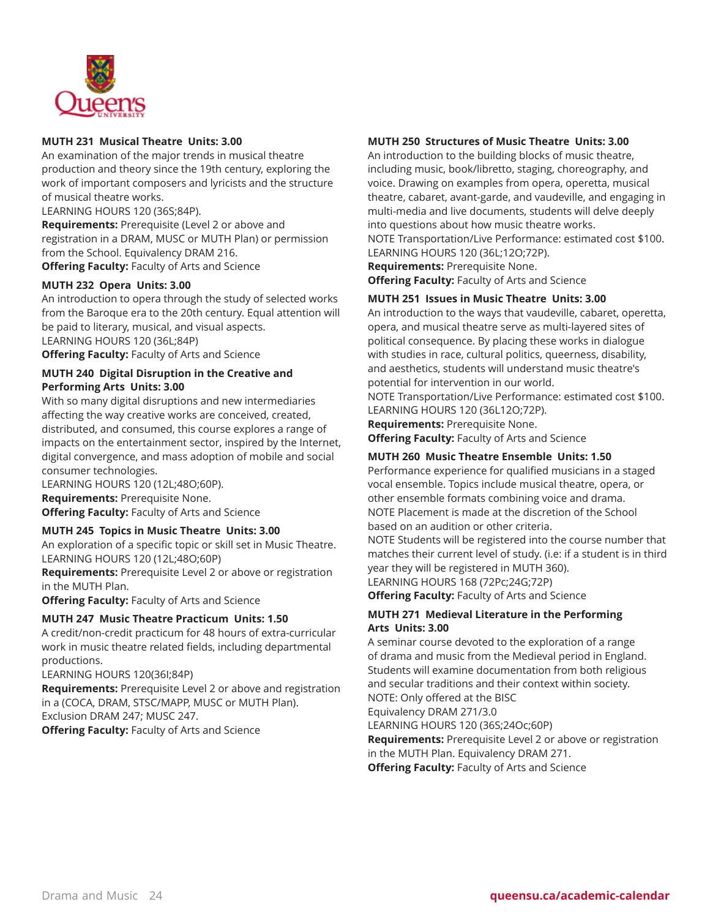

# **MUTH 231 Musical Theatre Units: 3.00**

An examination of the major trends in musical theatre production and theory since the 19th century, exploring the work of important composers and lyricists and the structure of musical theatre works.

LEARNING HOURS 120 (36S;84P).

**Requirements:** Prerequisite (Level 2 or above and registration in a DRAM, MUSC or MUTH Plan) or permission from the School. Equivalency DRAM 216. **Offering Faculty:** Faculty of Arts and Science

**MUTH 232 Opera Units: 3.00**

An introduction to opera through the study of selected works from the Baroque era to the 20th century. Equal attention will be paid to literary, musical, and visual aspects. LEARNING HOURS 120 (36L;84P)

**Offering Faculty:** Faculty of Arts and Science

# **MUTH 240 Digital Disruption in the Creative and Performing Arts Units: 3.00**

With so many digital disruptions and new intermediaries affecting the way creative works are conceived, created, distributed, and consumed, this course explores a range of impacts on the entertainment sector, inspired by the Internet, digital convergence, and mass adoption of mobile and social consumer technologies.

LEARNING HOURS 120 (12L;48O;60P). **Requirements:** Prerequisite None. **Offering Faculty:** Faculty of Arts and Science

# **MUTH 245 Topics in Music Theatre Units: 3.00**

An exploration of a specific topic or skill set in Music Theatre. LEARNING HOURS 120 (12L;48O;60P)

**Requirements:** Prerequisite Level 2 or above or registration in the MUTH Plan.

**Offering Faculty:** Faculty of Arts and Science

# **MUTH 247 Music Theatre Practicum Units: 1.50**

A credit/non-credit practicum for 48 hours of extra-curricular work in music theatre related fields, including departmental productions.

LEARNING HOURS 120(36I;84P)

**Requirements:** Prerequisite Level 2 or above and registration in a (COCA, DRAM, STSC/MAPP, MUSC or MUTH Plan). Exclusion DRAM 247; MUSC 247.

**Offering Faculty:** Faculty of Arts and Science

# **MUTH 250 Structures of Music Theatre Units: 3.00**

An introduction to the building blocks of music theatre, including music, book/libretto, staging, choreography, and voice. Drawing on examples from opera, operetta, musical theatre, cabaret, avant-garde, and vaudeville, and engaging in multi-media and live documents, students will delve deeply into questions about how music theatre works.

NOTE Transportation/Live Performance: estimated cost \$100. LEARNING HOURS 120 (36L;12O;72P).

**Requirements:** Prerequisite None. **Offering Faculty:** Faculty of Arts and Science

# **MUTH 251 Issues in Music Theatre Units: 3.00**

An introduction to the ways that vaudeville, cabaret, operetta, opera, and musical theatre serve as multi-layered sites of political consequence. By placing these works in dialogue with studies in race, cultural politics, queerness, disability, and aesthetics, students will understand music theatre's potential for intervention in our world.

NOTE Transportation/Live Performance: estimated cost \$100. LEARNING HOURS 120 (36L12O;72P).

**Requirements:** Prerequisite None. **Offering Faculty:** Faculty of Arts and Science

# **MUTH 260 Music Theatre Ensemble Units: 1.50**

Performance experience for qualified musicians in a staged vocal ensemble. Topics include musical theatre, opera, or other ensemble formats combining voice and drama. NOTE Placement is made at the discretion of the School based on an audition or other criteria.

NOTE Students will be registered into the course number that matches their current level of study. (i.e: if a student is in third year they will be registered in MUTH 360).

LEARNING HOURS 168 (72Pc;24G;72P) **Offering Faculty:** Faculty of Arts and Science

# **MUTH 271 Medieval Literature in the Performing Arts Units: 3.00**

A seminar course devoted to the exploration of a range of drama and music from the Medieval period in England. Students will examine documentation from both religious and secular traditions and their context within society. NOTE: Only offered at the BISC

Equivalency DRAM 271/3.0

LEARNING HOURS 120 (36S;24Oc;60P)

**Requirements:** Prerequisite Level 2 or above or registration in the MUTH Plan. Equivalency DRAM 271. **Offering Faculty:** Faculty of Arts and Science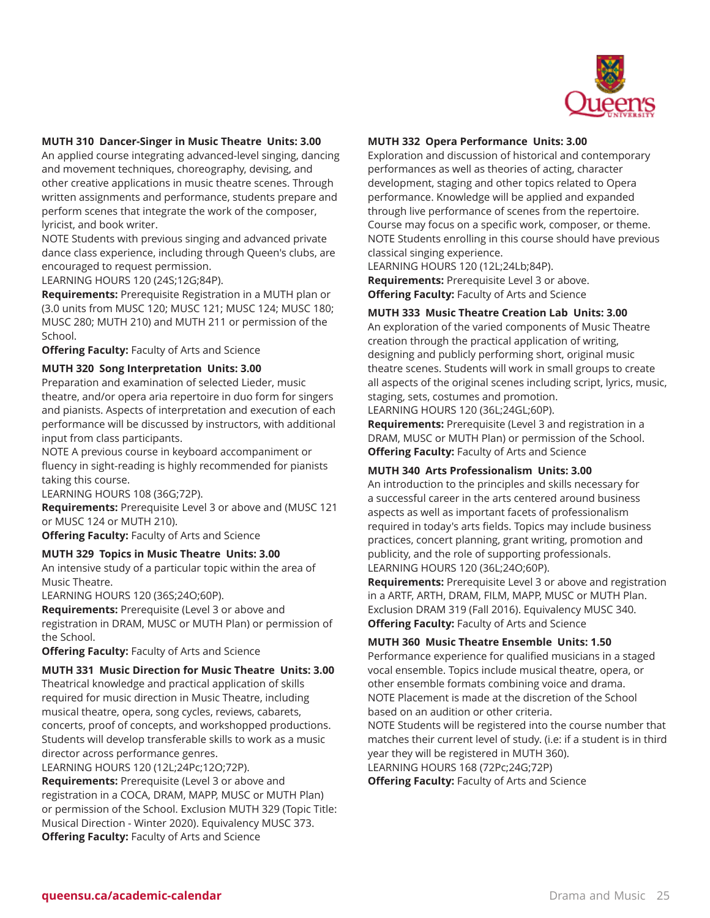

# **MUTH 310 Dancer-Singer in Music Theatre Units: 3.00**

An applied course integrating advanced-level singing, dancing and movement techniques, choreography, devising, and other creative applications in music theatre scenes. Through written assignments and performance, students prepare and perform scenes that integrate the work of the composer, lyricist, and book writer.

NOTE Students with previous singing and advanced private dance class experience, including through Queen's clubs, are encouraged to request permission.

LEARNING HOURS 120 (24S;12G;84P).

**Requirements:** Prerequisite Registration in a MUTH plan or (3.0 units from MUSC 120; MUSC 121; MUSC 124; MUSC 180; MUSC 280; MUTH 210) and MUTH 211 or permission of the School.

**Offering Faculty:** Faculty of Arts and Science

#### **MUTH 320 Song Interpretation Units: 3.00**

Preparation and examination of selected Lieder, music theatre, and/or opera aria repertoire in duo form for singers and pianists. Aspects of interpretation and execution of each performance will be discussed by instructors, with additional input from class participants.

NOTE A previous course in keyboard accompaniment or fluency in sight-reading is highly recommended for pianists taking this course.

LEARNING HOURS 108 (36G;72P).

**Requirements:** Prerequisite Level 3 or above and (MUSC 121 or MUSC 124 or MUTH 210).

**Offering Faculty:** Faculty of Arts and Science

# **MUTH 329 Topics in Music Theatre Units: 3.00**

An intensive study of a particular topic within the area of Music Theatre.

LEARNING HOURS 120 (36S;24O;60P).

**Requirements:** Prerequisite (Level 3 or above and registration in DRAM, MUSC or MUTH Plan) or permission of the School.

**Offering Faculty:** Faculty of Arts and Science

#### **MUTH 331 Music Direction for Music Theatre Units: 3.00**

Theatrical knowledge and practical application of skills required for music direction in Music Theatre, including musical theatre, opera, song cycles, reviews, cabarets, concerts, proof of concepts, and workshopped productions. Students will develop transferable skills to work as a music director across performance genres.

LEARNING HOURS 120 (12L;24Pc;12O;72P).

**Requirements:** Prerequisite (Level 3 or above and registration in a COCA, DRAM, MAPP, MUSC or MUTH Plan) or permission of the School. Exclusion MUTH 329 (Topic Title: Musical Direction - Winter 2020). Equivalency MUSC 373. **Offering Faculty:** Faculty of Arts and Science

#### **MUTH 332 Opera Performance Units: 3.00**

Exploration and discussion of historical and contemporary performances as well as theories of acting, character development, staging and other topics related to Opera performance. Knowledge will be applied and expanded through live performance of scenes from the repertoire. Course may focus on a specific work, composer, or theme. NOTE Students enrolling in this course should have previous classical singing experience.

LEARNING HOURS 120 (12L;24Lb;84P). **Requirements:** Prerequisite Level 3 or above. **Offering Faculty:** Faculty of Arts and Science

# **MUTH 333 Music Theatre Creation Lab Units: 3.00**

An exploration of the varied components of Music Theatre creation through the practical application of writing, designing and publicly performing short, original music theatre scenes. Students will work in small groups to create all aspects of the original scenes including script, lyrics, music, staging, sets, costumes and promotion.

LEARNING HOURS 120 (36L;24GL;60P).

**Requirements:** Prerequisite (Level 3 and registration in a DRAM, MUSC or MUTH Plan) or permission of the School. **Offering Faculty:** Faculty of Arts and Science

#### **MUTH 340 Arts Professionalism Units: 3.00**

An introduction to the principles and skills necessary for a successful career in the arts centered around business aspects as well as important facets of professionalism required in today's arts fields. Topics may include business practices, concert planning, grant writing, promotion and publicity, and the role of supporting professionals. LEARNING HOURS 120 (36L;24O;60P).

**Requirements:** Prerequisite Level 3 or above and registration in a ARTF, ARTH, DRAM, FILM, MAPP, MUSC or MUTH Plan. Exclusion DRAM 319 (Fall 2016). Equivalency MUSC 340. **Offering Faculty:** Faculty of Arts and Science

# **MUTH 360 Music Theatre Ensemble Units: 1.50**

Performance experience for qualified musicians in a staged vocal ensemble. Topics include musical theatre, opera, or other ensemble formats combining voice and drama. NOTE Placement is made at the discretion of the School based on an audition or other criteria.

NOTE Students will be registered into the course number that matches their current level of study. (i.e: if a student is in third year they will be registered in MUTH 360).

LEARNING HOURS 168 (72Pc;24G;72P)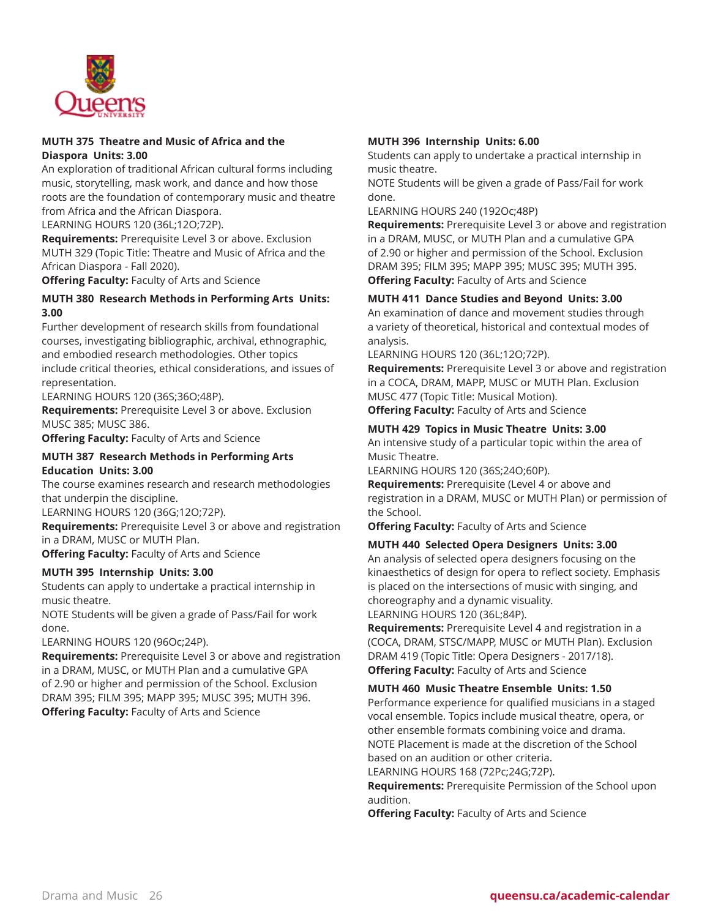

# **MUTH 375 Theatre and Music of Africa and the Diaspora Units: 3.00**

An exploration of traditional African cultural forms including music, storytelling, mask work, and dance and how those roots are the foundation of contemporary music and theatre from Africa and the African Diaspora.

LEARNING HOURS 120 (36L;12O;72P).

**Requirements:** Prerequisite Level 3 or above. Exclusion MUTH 329 (Topic Title: Theatre and Music of Africa and the African Diaspora - Fall 2020).

**Offering Faculty:** Faculty of Arts and Science

# **MUTH 380 Research Methods in Performing Arts Units: 3.00**

Further development of research skills from foundational courses, investigating bibliographic, archival, ethnographic, and embodied research methodologies. Other topics include critical theories, ethical considerations, and issues of representation.

LEARNING HOURS 120 (36S;36O;48P).

**Requirements:** Prerequisite Level 3 or above. Exclusion MUSC 385; MUSC 386.

**Offering Faculty:** Faculty of Arts and Science

#### **MUTH 387 Research Methods in Performing Arts Education Units: 3.00**

The course examines research and research methodologies that underpin the discipline.

LEARNING HOURS 120 (36G;12O;72P).

**Requirements:** Prerequisite Level 3 or above and registration in a DRAM, MUSC or MUTH Plan.

**Offering Faculty:** Faculty of Arts and Science

# **MUTH 395 Internship Units: 3.00**

Students can apply to undertake a practical internship in music theatre.

NOTE Students will be given a grade of Pass/Fail for work done.

LEARNING HOURS 120 (96Oc;24P).

**Requirements:** Prerequisite Level 3 or above and registration in a DRAM, MUSC, or MUTH Plan and a cumulative GPA of 2.90 or higher and permission of the School. Exclusion DRAM 395; FILM 395; MAPP 395; MUSC 395; MUTH 396. **Offering Faculty:** Faculty of Arts and Science

# **MUTH 396 Internship Units: 6.00**

Students can apply to undertake a practical internship in music theatre.

NOTE Students will be given a grade of Pass/Fail for work done.

LEARNING HOURS 240 (192Oc;48P)

**Requirements:** Prerequisite Level 3 or above and registration in a DRAM, MUSC, or MUTH Plan and a cumulative GPA of 2.90 or higher and permission of the School. Exclusion DRAM 395; FILM 395; MAPP 395; MUSC 395; MUTH 395. **Offering Faculty:** Faculty of Arts and Science

# **MUTH 411 Dance Studies and Beyond Units: 3.00**

An examination of dance and movement studies through a variety of theoretical, historical and contextual modes of analysis.

LEARNING HOURS 120 (36L;12O;72P).

**Requirements:** Prerequisite Level 3 or above and registration in a COCA, DRAM, MAPP, MUSC or MUTH Plan. Exclusion MUSC 477 (Topic Title: Musical Motion).

**Offering Faculty:** Faculty of Arts and Science

# **MUTH 429 Topics in Music Theatre Units: 3.00**

An intensive study of a particular topic within the area of Music Theatre.

LEARNING HOURS 120 (36S;24O;60P).

**Requirements:** Prerequisite (Level 4 or above and registration in a DRAM, MUSC or MUTH Plan) or permission of the School.

**Offering Faculty:** Faculty of Arts and Science

# **MUTH 440 Selected Opera Designers Units: 3.00**

An analysis of selected opera designers focusing on the kinaesthetics of design for opera to reflect society. Emphasis is placed on the intersections of music with singing, and choreography and a dynamic visuality. LEARNING HOURS 120 (36L;84P).

**Requirements:** Prerequisite Level 4 and registration in a (COCA, DRAM, STSC/MAPP, MUSC or MUTH Plan). Exclusion

DRAM 419 (Topic Title: Opera Designers - 2017/18). **Offering Faculty:** Faculty of Arts and Science

**MUTH 460 Music Theatre Ensemble Units: 1.50**

Performance experience for qualified musicians in a staged vocal ensemble. Topics include musical theatre, opera, or other ensemble formats combining voice and drama. NOTE Placement is made at the discretion of the School based on an audition or other criteria.

LEARNING HOURS 168 (72Pc;24G;72P).

**Requirements:** Prerequisite Permission of the School upon audition.